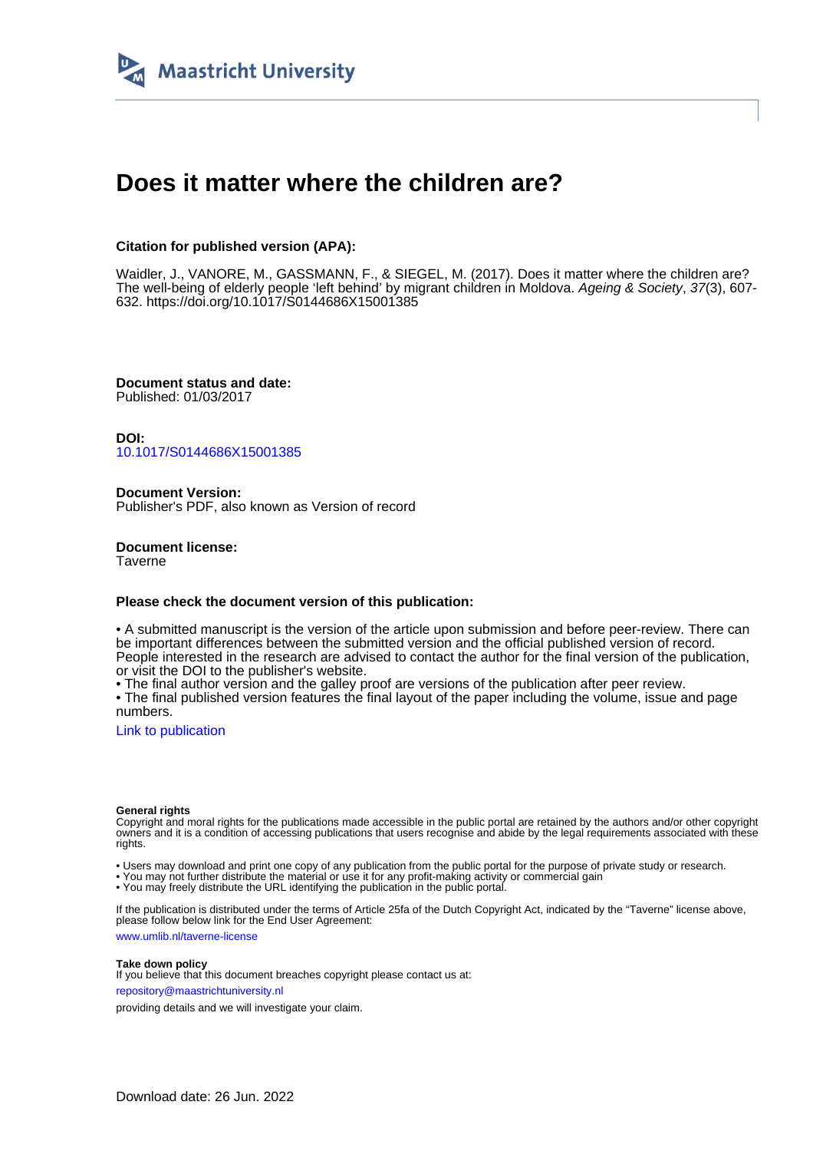

# **Does it matter where the children are?**

## **Citation for published version (APA):**

Waidler, J., VANORE, M., GASSMANN, F., & SIEGEL, M. (2017). Does it matter where the children are? The well-being of elderly people 'left behind' by migrant children in Moldova. Ageing & Society, 37(3), 607-632.<https://doi.org/10.1017/S0144686X15001385>

**Document status and date:** Published: 01/03/2017

**DOI:** [10.1017/S0144686X15001385](https://doi.org/10.1017/S0144686X15001385)

**Document Version:** Publisher's PDF, also known as Version of record

**Document license: Taverne** 

## **Please check the document version of this publication:**

• A submitted manuscript is the version of the article upon submission and before peer-review. There can be important differences between the submitted version and the official published version of record. People interested in the research are advised to contact the author for the final version of the publication, or visit the DOI to the publisher's website.

• The final author version and the galley proof are versions of the publication after peer review.

• The final published version features the final layout of the paper including the volume, issue and page numbers.

[Link to publication](https://cris.maastrichtuniversity.nl/en/publications/3499e498-f068-45fa-8eaa-0b5cfa980493)

#### **General rights**

Copyright and moral rights for the publications made accessible in the public portal are retained by the authors and/or other copyright owners and it is a condition of accessing publications that users recognise and abide by the legal requirements associated with these rights.

• Users may download and print one copy of any publication from the public portal for the purpose of private study or research.

• You may not further distribute the material or use it for any profit-making activity or commercial gain

• You may freely distribute the URL identifying the publication in the public portal.

If the publication is distributed under the terms of Article 25fa of the Dutch Copyright Act, indicated by the "Taverne" license above, please follow below link for the End User Agreement:

www.umlib.nl/taverne-license

#### **Take down policy**

If you believe that this document breaches copyright please contact us at: repository@maastrichtuniversity.nl

providing details and we will investigate your claim.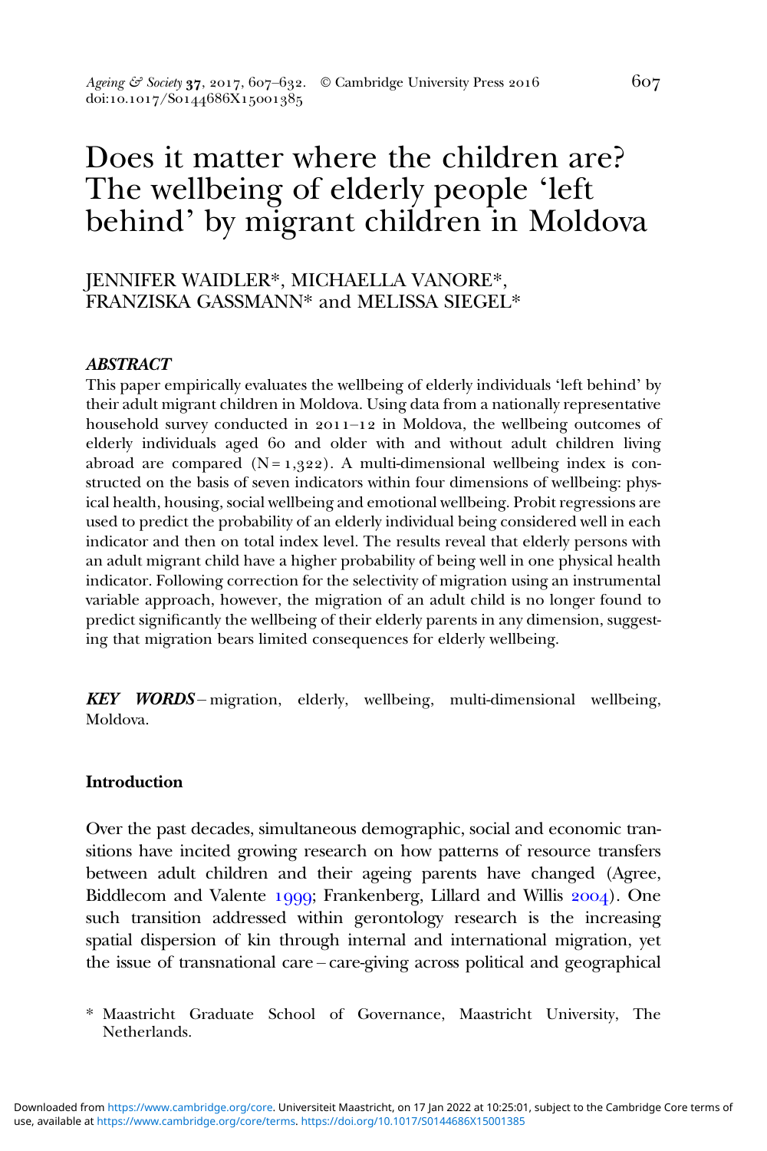# Does it matter where the children are? The wellbeing of elderly people 'left behind' by migrant children in Moldova

## JENNIFER WAIDLER\*, MICHAELLA VANORE\*, FRANZISKA GASSMANN\* and MELISSA SIEGEL\*

## **ABSTRACT**

This paper empirically evaluates the wellbeing of elderly individuals 'left behind' by their adult migrant children in Moldova. Using data from a nationally representative household survey conducted in  $2011-12$  in Moldova, the wellbeing outcomes of elderly individuals aged 60 and older with and without adult children living abroad are compared  $(N=1,322)$ . A multi-dimensional wellbeing index is constructed on the basis of seven indicators within four dimensions of wellbeing: physical health, housing, social wellbeing and emotional wellbeing. Probit regressions are used to predict the probability of an elderly individual being considered well in each indicator and then on total index level. The results reveal that elderly persons with an adult migrant child have a higher probability of being well in one physical health indicator. Following correction for the selectivity of migration using an instrumental variable approach, however, the migration of an adult child is no longer found to predict significantly the wellbeing of their elderly parents in any dimension, suggesting that migration bears limited consequences for elderly wellbeing.

**KEY WORDS**-migration, elderly, wellbeing, multi-dimensional wellbeing, Moldova.

#### Introduction

Over the past decades, simultaneous demographic, social and economic transitions have incited growing research on how patterns of resource transfers between adult children and their ageing parents have changed (Agree, Biddlecom and Valente 1999; Frankenberg, Lillard and Willis 2004). One such transition addressed within gerontology research is the increasing spatial dispersion of kin through internal and international migration, yet the issue of transnational care – care-giving across political and geographical

\* Maastricht Graduate School of Governance, Maastricht University, The Netherlands.

607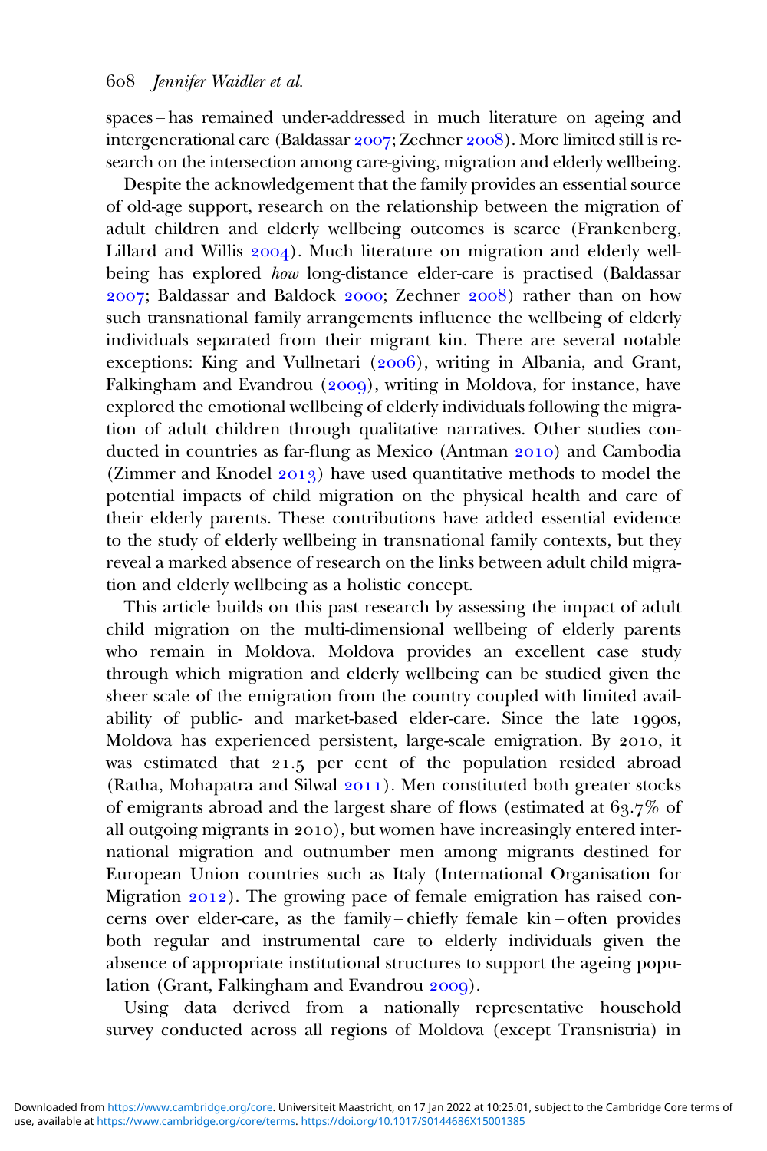spaces – has remained under-addressed in much literature on ageing and intergenerational care (Baldassar  $2007$ ; Zechner  $2008$ ). More limited still is research on the intersection among care-giving, migration and elderly wellbeing.

Despite the acknowledgement that the family provides an essential source of old-age support, research on the relationship between the migration of adult children and elderly wellbeing outcomes is scarce (Frankenberg, Lillard and Willis  $2004$ ). Much literature on migration and elderly wellbeing has explored how long-distance elder-care is practised (Baldassar  $2007$ ; Baldassar and Baldock  $2000$ ; Zechner  $2008$ ) rather than on how such transnational family arrangements influence the wellbeing of elderly individuals separated from their migrant kin. There are several notable exceptions: King and Vullnetari  $(2006)$ , writing in Albania, and Grant, Falkingham and Evandrou  $(2009)$ , writing in Moldova, for instance, have explored the emotional wellbeing of elderly individuals following the migration of adult children through qualitative narratives. Other studies conducted in countries as far-flung as Mexico (Antman 2010) and Cambodia (Zimmer and Knodel  $2013$ ) have used quantitative methods to model the potential impacts of child migration on the physical health and care of their elderly parents. These contributions have added essential evidence to the study of elderly wellbeing in transnational family contexts, but they reveal a marked absence of research on the links between adult child migration and elderly wellbeing as a holistic concept.

This article builds on this past research by assessing the impact of adult child migration on the multi-dimensional wellbeing of elderly parents who remain in Moldova. Moldova provides an excellent case study through which migration and elderly wellbeing can be studied given the sheer scale of the emigration from the country coupled with limited availability of public- and market-based elder-care. Since the late 1990s, Moldova has experienced persistent, large-scale emigration. By 2010, it was estimated that 21.5 per cent of the population resided abroad (Ratha, Mohapatra and Silwal  $2011$ ). Men constituted both greater stocks of emigrants abroad and the largest share of flows (estimated at  $63.7\%$  of all outgoing migrants in 2010), but women have increasingly entered international migration and outnumber men among migrants destined for European Union countries such as Italy (International Organisation for Migration 2012). The growing pace of female emigration has raised concerns over elder-care, as the family – chiefly female kin – often provides both regular and instrumental care to elderly individuals given the absence of appropriate institutional structures to support the ageing population (Grant, Falkingham and Evandrou  $2009$ ).

Using data derived from a nationally representative household survey conducted across all regions of Moldova (except Transnistria) in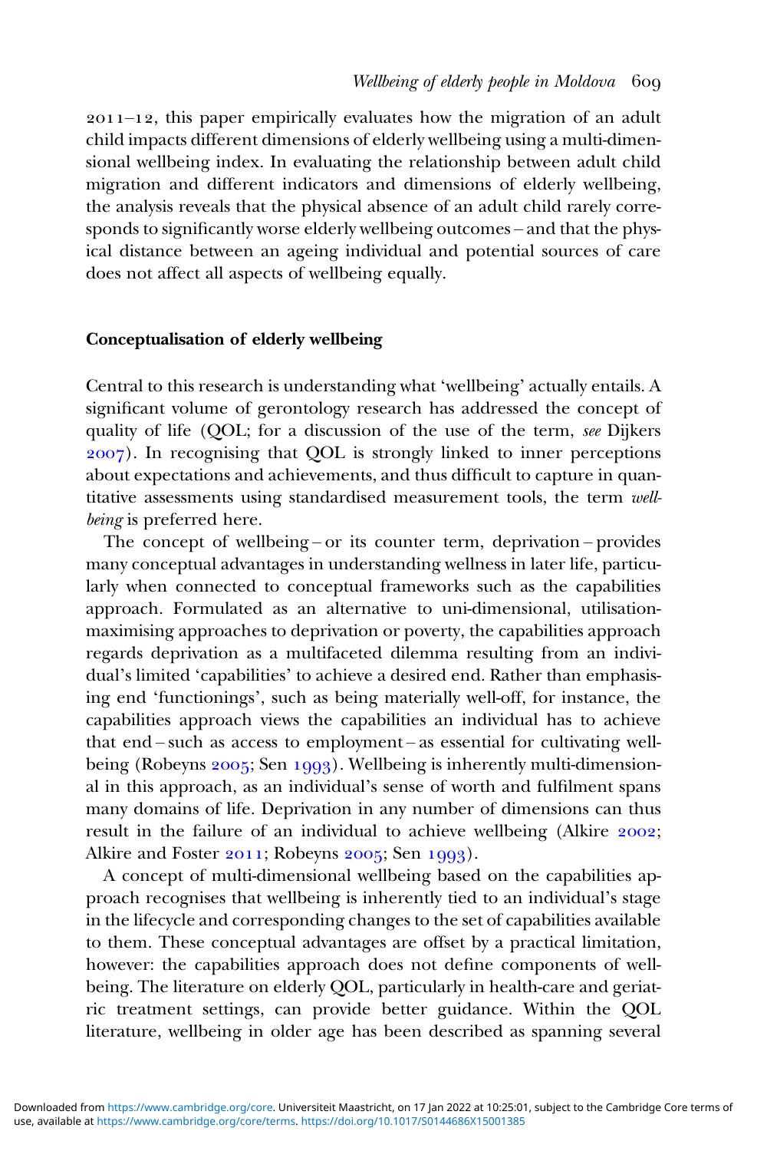$2011-12$ , this paper empirically evaluates how the migration of an adult child impacts different dimensions of elderly wellbeing using a multi-dimensional wellbeing index. In evaluating the relationship between adult child migration and different indicators and dimensions of elderly wellbeing, the analysis reveals that the physical absence of an adult child rarely corresponds to significantly worse elderly wellbeing outcomes – and that the physical distance between an ageing individual and potential sources of care does not affect all aspects of wellbeing equally.

## Conceptualisation of elderly wellbeing

Central to this research is understanding what 'wellbeing' actually entails. A significant volume of gerontology research has addressed the concept of quality of life (QOL; for a discussion of the use of the term, see Dijkers ). In recognising that QOL is strongly linked to inner perceptions about expectations and achievements, and thus difficult to capture in quantitative assessments using standardised measurement tools, the term wellbeing is preferred here.

The concept of wellbeing – or its counter term, deprivation – provides many conceptual advantages in understanding wellness in later life, particularly when connected to conceptual frameworks such as the capabilities approach. Formulated as an alternative to uni-dimensional, utilisationmaximising approaches to deprivation or poverty, the capabilities approach regards deprivation as a multifaceted dilemma resulting from an individual's limited 'capabilities' to achieve a desired end. Rather than emphasising end 'functionings', such as being materially well-off, for instance, the capabilities approach views the capabilities an individual has to achieve that end – such as access to employment – as essential for cultivating wellbeing (Robeyns  $2005$ ; Sen 1993). Wellbeing is inherently multi-dimensional in this approach, as an individual's sense of worth and fulfilment spans many domains of life. Deprivation in any number of dimensions can thus result in the failure of an individual to achieve wellbeing (Alkire  $2002$ ; Alkire and Foster  $2011$ ; Robeyns  $2005$ ; Sen  $1003$ ).

A concept of multi-dimensional wellbeing based on the capabilities approach recognises that wellbeing is inherently tied to an individual's stage in the lifecycle and corresponding changes to the set of capabilities available to them. These conceptual advantages are offset by a practical limitation, however: the capabilities approach does not define components of wellbeing. The literature on elderly QOL, particularly in health-care and geriatric treatment settings, can provide better guidance. Within the QOL literature, wellbeing in older age has been described as spanning several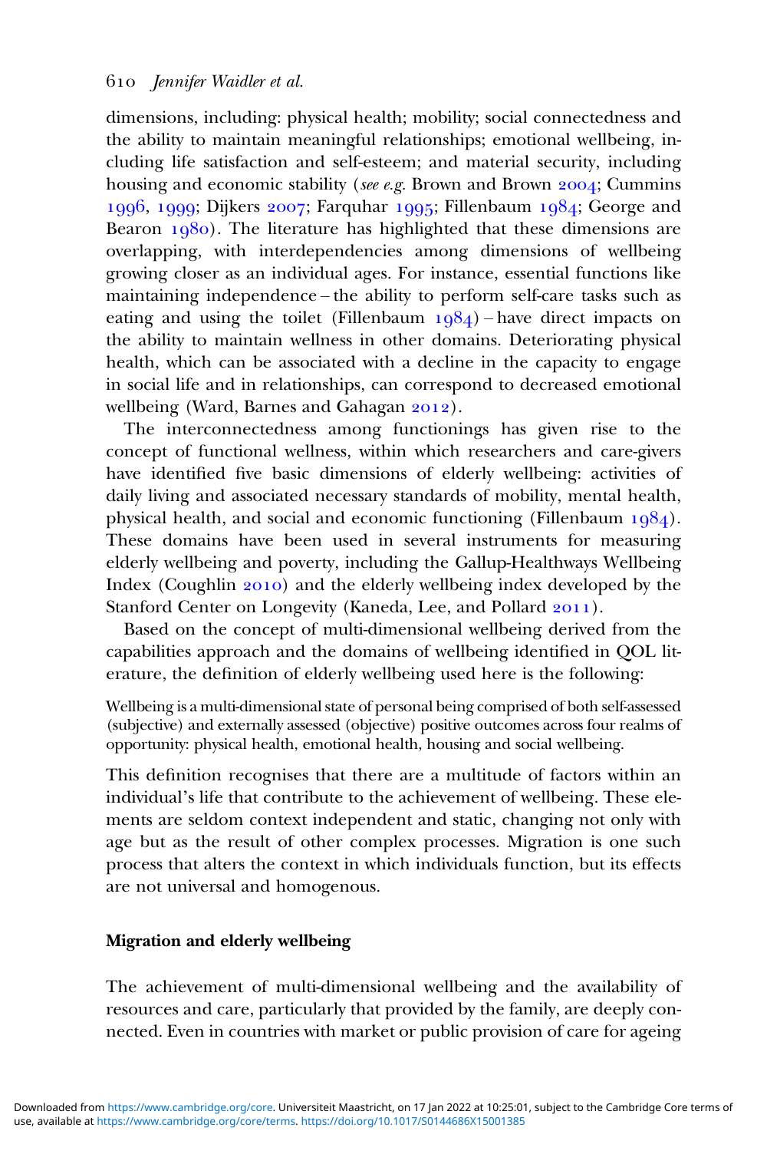dimensions, including: physical health; mobility; social connectedness and the ability to maintain meaningful relationships; emotional wellbeing, including life satisfaction and self-esteem; and material security, including housing and economic stability (see e.g. Brown and Brown  $2004$ ; Cummins  $1996, 1999$ ; Dijkers 2007; Farquhar  $1995$ ; Fillenbaum  $1984$ ; George and Bearon  $1980$ ). The literature has highlighted that these dimensions are overlapping, with interdependencies among dimensions of wellbeing growing closer as an individual ages. For instance, essential functions like maintaining independence – the ability to perform self-care tasks such as eating and using the toilet (Fillenbaum  $1084$ ) – have direct impacts on the ability to maintain wellness in other domains. Deteriorating physical health, which can be associated with a decline in the capacity to engage in social life and in relationships, can correspond to decreased emotional wellbeing (Ward, Barnes and Gahagan 2012).

The interconnectedness among functionings has given rise to the concept of functional wellness, within which researchers and care-givers have identified five basic dimensions of elderly wellbeing: activities of daily living and associated necessary standards of mobility, mental health, physical health, and social and economic functioning (Fillenbaum  $1984$ ). These domains have been used in several instruments for measuring elderly wellbeing and poverty, including the Gallup-Healthways Wellbeing Index (Coughlin  $2010$ ) and the elderly wellbeing index developed by the Stanford Center on Longevity (Kaneda, Lee, and Pollard 2011).

Based on the concept of multi-dimensional wellbeing derived from the capabilities approach and the domains of wellbeing identified in QOL literature, the definition of elderly wellbeing used here is the following:

Wellbeing is a multi-dimensional state of personal being comprised of both self-assessed (subjective) and externally assessed (objective) positive outcomes across four realms of opportunity: physical health, emotional health, housing and social wellbeing.

This definition recognises that there are a multitude of factors within an individual's life that contribute to the achievement of wellbeing. These elements are seldom context independent and static, changing not only with age but as the result of other complex processes. Migration is one such process that alters the context in which individuals function, but its effects are not universal and homogenous.

## Migration and elderly wellbeing

The achievement of multi-dimensional wellbeing and the availability of resources and care, particularly that provided by the family, are deeply connected. Even in countries with market or public provision of care for ageing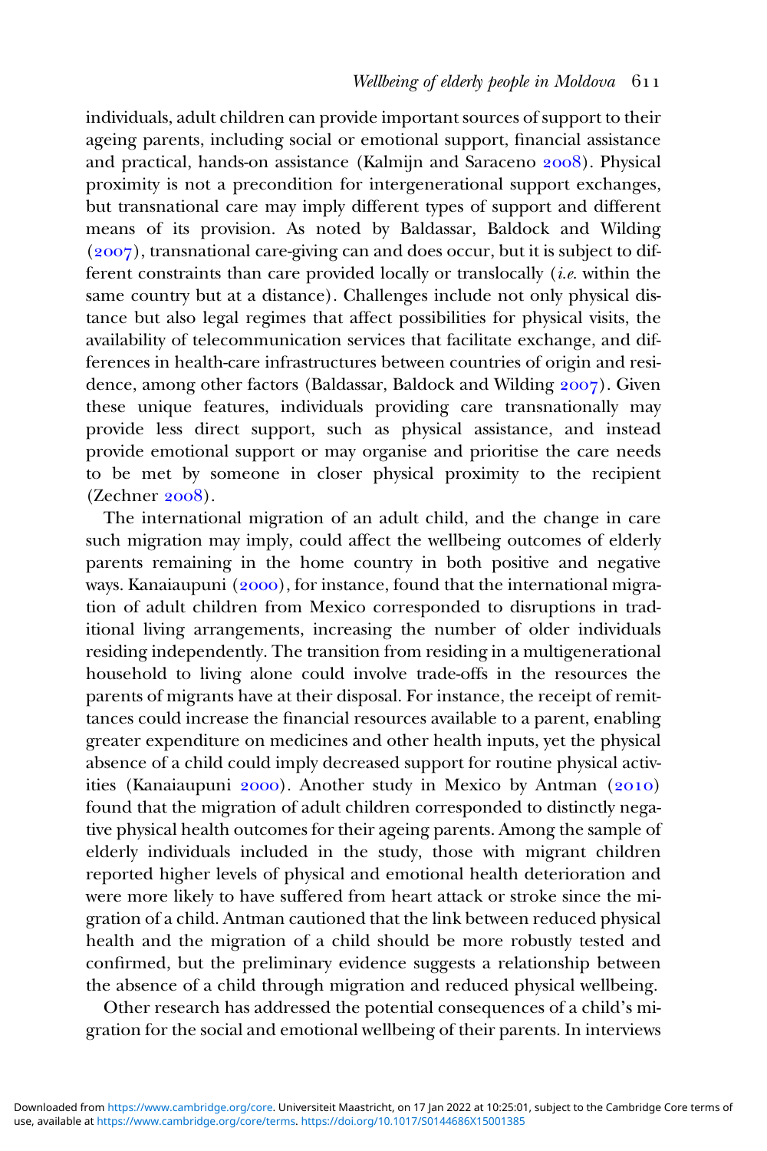individuals, adult children can provide important sources of support to their ageing parents, including social or emotional support, financial assistance and practical, hands-on assistance (Kalmijn and Saraceno  $2008$ ). Physical proximity is not a precondition for intergenerational support exchanges, but transnational care may imply different types of support and different means of its provision. As noted by Baldassar, Baldock and Wilding  $(2007)$ , transnational care-giving can and does occur, but it is subject to different constraints than care provided locally or translocally (i.e. within the same country but at a distance). Challenges include not only physical distance but also legal regimes that affect possibilities for physical visits, the availability of telecommunication services that facilitate exchange, and differences in health-care infrastructures between countries of origin and residence, among other factors (Baldassar, Baldock and Wilding 2007). Given these unique features, individuals providing care transnationally may provide less direct support, such as physical assistance, and instead provide emotional support or may organise and prioritise the care needs to be met by someone in closer physical proximity to the recipient  $(Zechner 2008)$ .

The international migration of an adult child, and the change in care such migration may imply, could affect the wellbeing outcomes of elderly parents remaining in the home country in both positive and negative ways. Kanaiaupuni  $(2000)$ , for instance, found that the international migration of adult children from Mexico corresponded to disruptions in traditional living arrangements, increasing the number of older individuals residing independently. The transition from residing in a multigenerational household to living alone could involve trade-offs in the resources the parents of migrants have at their disposal. For instance, the receipt of remittances could increase the financial resources available to a parent, enabling greater expenditure on medicines and other health inputs, yet the physical absence of a child could imply decreased support for routine physical activities (Kanaiaupuni 2000). Another study in Mexico by Antman (2010) found that the migration of adult children corresponded to distinctly negative physical health outcomes for their ageing parents. Among the sample of elderly individuals included in the study, those with migrant children reported higher levels of physical and emotional health deterioration and were more likely to have suffered from heart attack or stroke since the migration of a child. Antman cautioned that the link between reduced physical health and the migration of a child should be more robustly tested and confirmed, but the preliminary evidence suggests a relationship between the absence of a child through migration and reduced physical wellbeing.

Other research has addressed the potential consequences of a child's migration for the social and emotional wellbeing of their parents. In interviews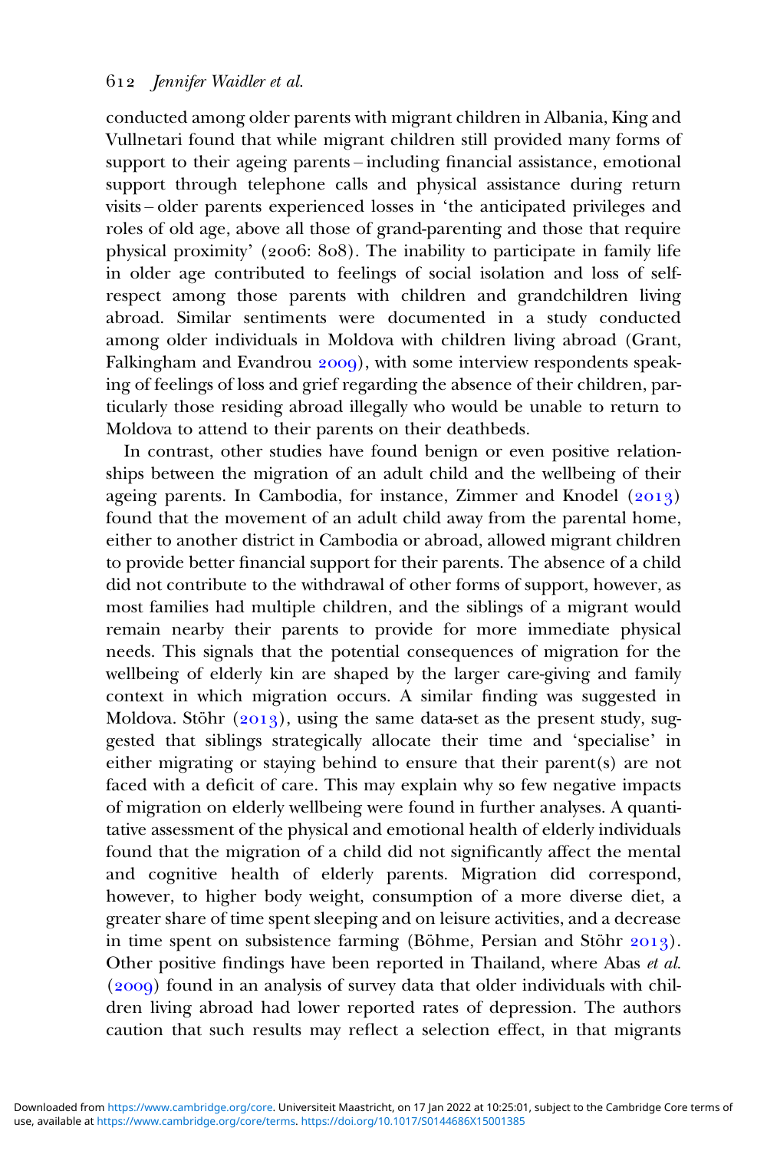conducted among older parents with migrant children in Albania, King and Vullnetari found that while migrant children still provided many forms of support to their ageing parents – including financial assistance, emotional support through telephone calls and physical assistance during return visits – older parents experienced losses in 'the anticipated privileges and roles of old age, above all those of grand-parenting and those that require physical proximity' (2006:  $808$ ). The inability to participate in family life in older age contributed to feelings of social isolation and loss of selfrespect among those parents with children and grandchildren living abroad. Similar sentiments were documented in a study conducted among older individuals in Moldova with children living abroad (Grant, Falkingham and Evandrou 2009), with some interview respondents speaking of feelings of loss and grief regarding the absence of their children, particularly those residing abroad illegally who would be unable to return to Moldova to attend to their parents on their deathbeds.

In contrast, other studies have found benign or even positive relationships between the migration of an adult child and the wellbeing of their ageing parents. In Cambodia, for instance, Zimmer and Knodel  $(2013)$ found that the movement of an adult child away from the parental home, either to another district in Cambodia or abroad, allowed migrant children to provide better financial support for their parents. The absence of a child did not contribute to the withdrawal of other forms of support, however, as most families had multiple children, and the siblings of a migrant would remain nearby their parents to provide for more immediate physical needs. This signals that the potential consequences of migration for the wellbeing of elderly kin are shaped by the larger care-giving and family context in which migration occurs. A similar finding was suggested in Moldova. Stöhr  $(2013)$ , using the same data-set as the present study, suggested that siblings strategically allocate their time and 'specialise' in either migrating or staying behind to ensure that their parent(s) are not faced with a deficit of care. This may explain why so few negative impacts of migration on elderly wellbeing were found in further analyses. A quantitative assessment of the physical and emotional health of elderly individuals found that the migration of a child did not significantly affect the mental and cognitive health of elderly parents. Migration did correspond, however, to higher body weight, consumption of a more diverse diet, a greater share of time spent sleeping and on leisure activities, and a decrease in time spent on subsistence farming (Böhme, Persian and Stöhr  $2013$ ). Other positive findings have been reported in Thailand, where Abas et al.  $(2009)$  found in an analysis of survey data that older individuals with children living abroad had lower reported rates of depression. The authors caution that such results may reflect a selection effect, in that migrants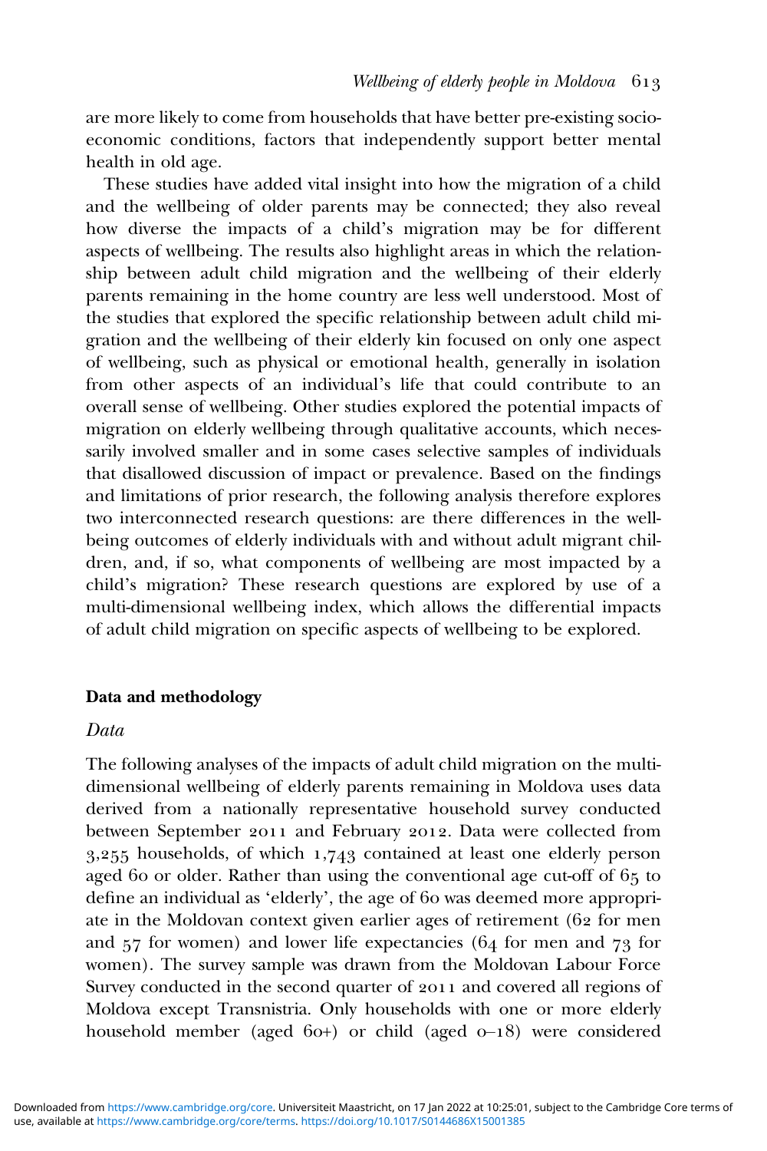are more likely to come from households that have better pre-existing socioeconomic conditions, factors that independently support better mental health in old age.

These studies have added vital insight into how the migration of a child and the wellbeing of older parents may be connected; they also reveal how diverse the impacts of a child's migration may be for different aspects of wellbeing. The results also highlight areas in which the relationship between adult child migration and the wellbeing of their elderly parents remaining in the home country are less well understood. Most of the studies that explored the specific relationship between adult child migration and the wellbeing of their elderly kin focused on only one aspect of wellbeing, such as physical or emotional health, generally in isolation from other aspects of an individual's life that could contribute to an overall sense of wellbeing. Other studies explored the potential impacts of migration on elderly wellbeing through qualitative accounts, which necessarily involved smaller and in some cases selective samples of individuals that disallowed discussion of impact or prevalence. Based on the findings and limitations of prior research, the following analysis therefore explores two interconnected research questions: are there differences in the wellbeing outcomes of elderly individuals with and without adult migrant children, and, if so, what components of wellbeing are most impacted by a child's migration? These research questions are explored by use of a multi-dimensional wellbeing index, which allows the differential impacts of adult child migration on specific aspects of wellbeing to be explored.

#### Data and methodology

#### Data

The following analyses of the impacts of adult child migration on the multidimensional wellbeing of elderly parents remaining in Moldova uses data derived from a nationally representative household survey conducted between September 2011 and February 2012. Data were collected from  $3,255$  households, of which  $1,743$  contained at least one elderly person aged 60 or older. Rather than using the conventional age cut-off of 65 to define an individual as 'elderly', the age of 60 was deemed more appropriate in the Moldovan context given earlier ages of retirement (62 for men and  $57$  for women) and lower life expectancies ( $64$  for men and  $73$  for women). The survey sample was drawn from the Moldovan Labour Force Survey conducted in the second quarter of 2011 and covered all regions of Moldova except Transnistria. Only households with one or more elderly household member (aged  $6o+$ ) or child (aged  $o-18$ ) were considered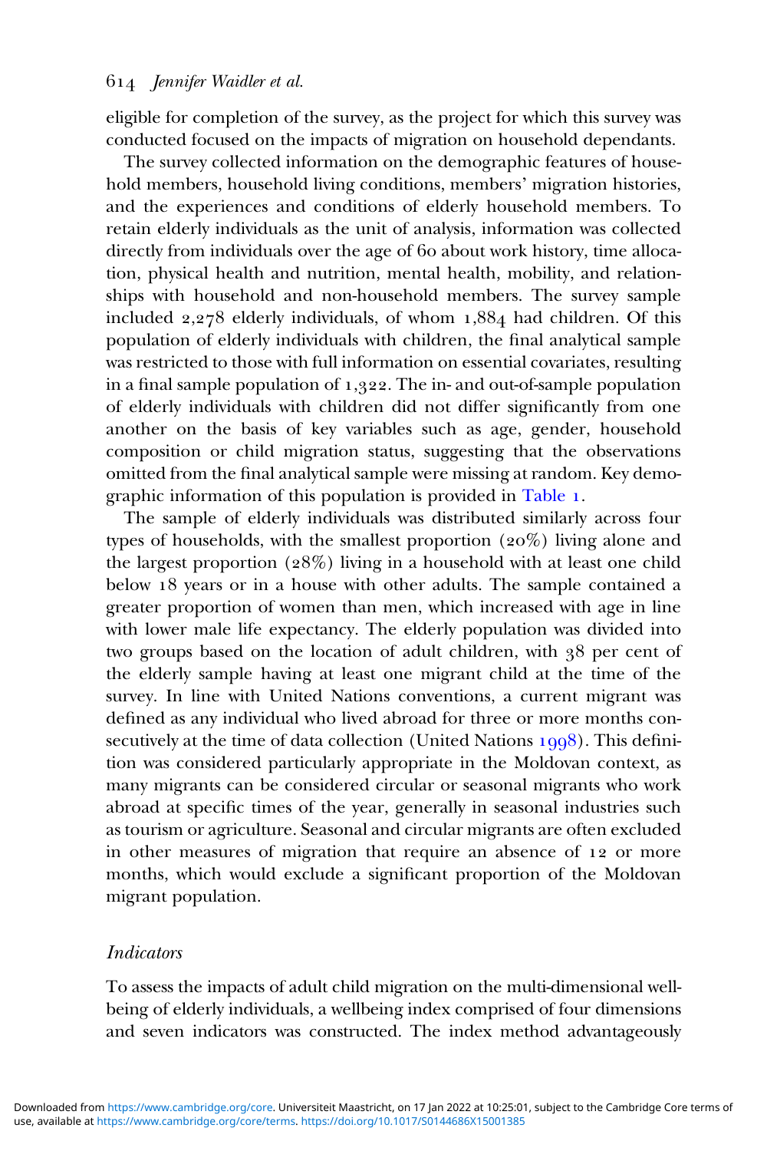eligible for completion of the survey, as the project for which this survey was conducted focused on the impacts of migration on household dependants.

The survey collected information on the demographic features of household members, household living conditions, members' migration histories, and the experiences and conditions of elderly household members. To retain elderly individuals as the unit of analysis, information was collected directly from individuals over the age of 60 about work history, time allocation, physical health and nutrition, mental health, mobility, and relationships with household and non-household members. The survey sample included  $2,278$  elderly individuals, of whom  $1,884$  had children. Of this population of elderly individuals with children, the final analytical sample was restricted to those with full information on essential covariates, resulting in a final sample population of  $1,322$ . The in- and out-of-sample population of elderly individuals with children did not differ significantly from one another on the basis of key variables such as age, gender, household composition or child migration status, suggesting that the observations omitted from the final analytical sample were missing at random. Key demo-graphic information of this population is provided in [Table](#page-9-0) 1.

The sample of elderly individuals was distributed similarly across four types of households, with the smallest proportion  $(20\%)$  living alone and the largest proportion  $(28%)$  living in a household with at least one child below 18 years or in a house with other adults. The sample contained a greater proportion of women than men, which increased with age in line with lower male life expectancy. The elderly population was divided into two groups based on the location of adult children, with  $38$  per cent of the elderly sample having at least one migrant child at the time of the survey. In line with United Nations conventions, a current migrant was defined as any individual who lived abroad for three or more months consecutively at the time of data collection (United Nations  $1998$ ). This definition was considered particularly appropriate in the Moldovan context, as many migrants can be considered circular or seasonal migrants who work abroad at specific times of the year, generally in seasonal industries such as tourism or agriculture. Seasonal and circular migrants are often excluded in other measures of migration that require an absence of 12 or more months, which would exclude a significant proportion of the Moldovan migrant population.

## Indicators

To assess the impacts of adult child migration on the multi-dimensional wellbeing of elderly individuals, a wellbeing index comprised of four dimensions and seven indicators was constructed. The index method advantageously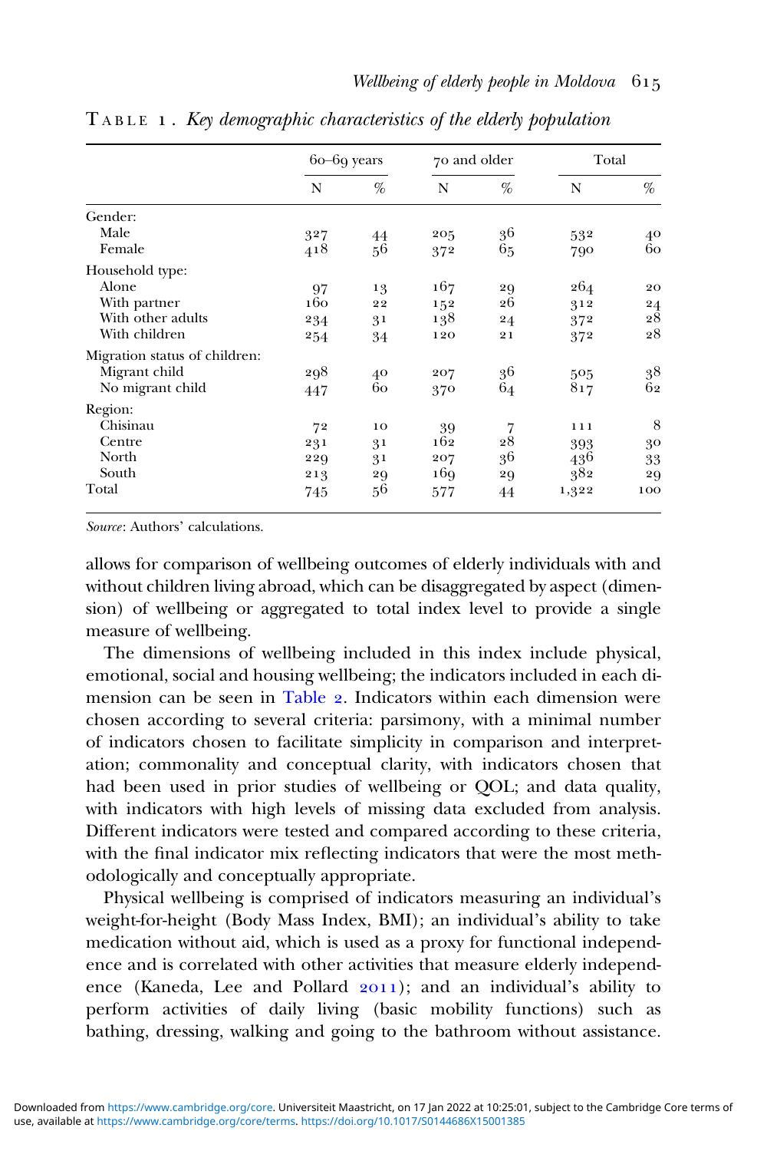|                               | 60-69 years |                | 70 and older |    | Total |              |
|-------------------------------|-------------|----------------|--------------|----|-------|--------------|
|                               | N           | %              | N            | %  | N     | %            |
| Gender:                       |             |                |              |    |       |              |
| Male                          | 327         | 44             | 205          | 36 | 532   | $40^{\circ}$ |
| Female                        | $4^{18}$    | 56             | 372          | 65 | 790   | 60           |
| Household type:               |             |                |              |    |       |              |
| Alone                         | 97          | 13             | 167          | 29 | 264   | 20           |
| With partner                  | 160         | 22             | 152          | 26 | 312   | 24           |
| With other adults             | 234         | 3 <sup>1</sup> | 138          | 24 | 372   | 28           |
| With children                 | 254         | 34             | 120          | 21 | 372   | 28           |
| Migration status of children: |             |                |              |    |       |              |
| Migrant child                 | 298         | 40             | 207          | 36 | 505   | $\rm 38$     |
| No migrant child              | 447         | 60             | 370          | 64 | 817   | 62           |
| Region:                       |             |                |              |    |       |              |
| Chisinau                      | 72          | 10             | 39           | 7  | 111   | 8            |
| Centre                        | 231         | 31             | 162          | 28 | 393   | 30           |
| North                         | 229         | 31             | 207          | 36 | 436   | 33           |
| South                         | 213         | 29             | 169          | 29 | 382   | 29           |
| Total                         | 745         | 56             | 577          | 44 | 1,322 | 100          |

<span id="page-9-0"></span> $T$ ABLE 1. Key demographic characteristics of the elderly population

Source: Authors' calculations.

allows for comparison of wellbeing outcomes of elderly individuals with and without children living abroad, which can be disaggregated by aspect (dimension) of wellbeing or aggregated to total index level to provide a single measure of wellbeing.

The dimensions of wellbeing included in this index include physical, emotional, social and housing wellbeing; the indicators included in each di-mension can be seen in [Table](#page-10-0) 2. Indicators within each dimension were chosen according to several criteria: parsimony, with a minimal number of indicators chosen to facilitate simplicity in comparison and interpretation; commonality and conceptual clarity, with indicators chosen that had been used in prior studies of wellbeing or QOL; and data quality, with indicators with high levels of missing data excluded from analysis. Different indicators were tested and compared according to these criteria, with the final indicator mix reflecting indicators that were the most methodologically and conceptually appropriate.

Physical wellbeing is comprised of indicators measuring an individual's weight-for-height (Body Mass Index, BMI); an individual's ability to take medication without aid, which is used as a proxy for functional independence and is correlated with other activities that measure elderly independence (Kaneda, Lee and Pollard  $2011$ ); and an individual's ability to perform activities of daily living (basic mobility functions) such as bathing, dressing, walking and going to the bathroom without assistance.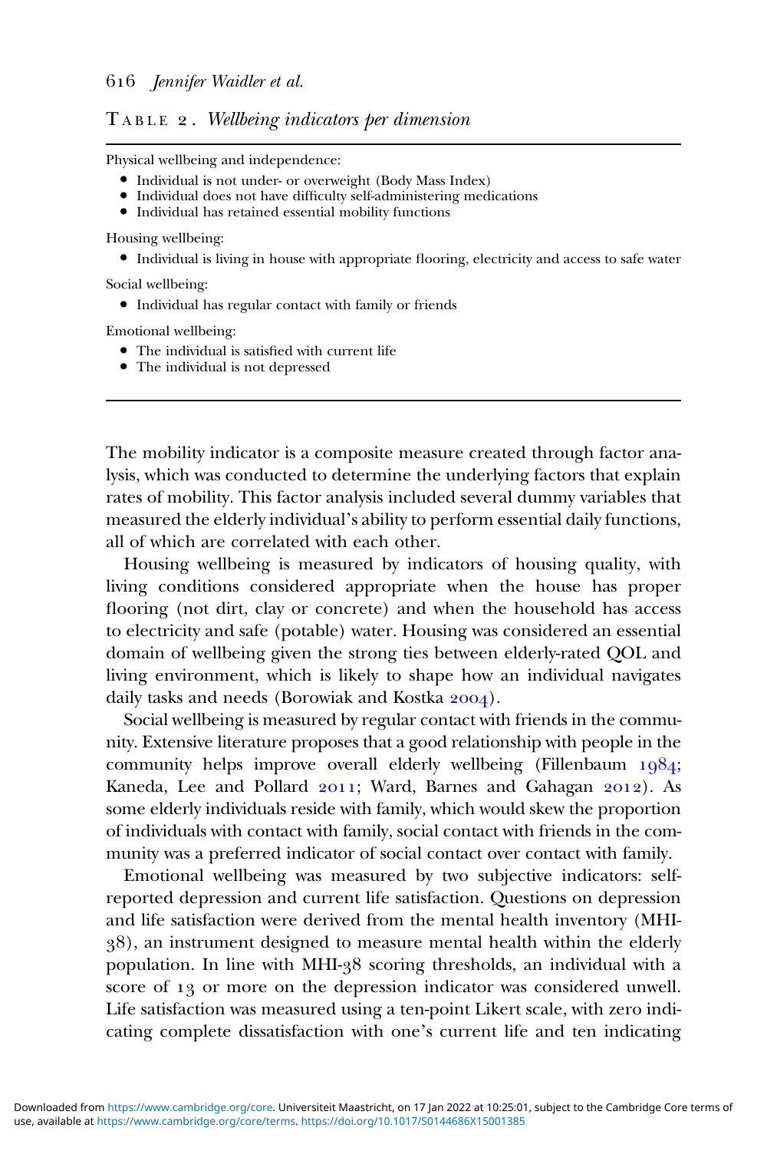## <span id="page-10-0"></span>TABLE 2. Wellbeing indicators per dimension

Physical wellbeing and independence:

- 
- . Individual is not under- or overweight (Body Mass Index) . Individual does not have difficulty self-administering medications . Individual has retained essential mobility functions
- 

Housing wellbeing:

. Individual is living in house with appropriate flooring, electricity and access to safe water

Social wellbeing:

. Individual has regular contact with family or friends

Emotional wellbeing:

- $\bullet$  The individual is satisfied with current life  $\bullet$  The individual is not depressed
- 

The mobility indicator is a composite measure created through factor analysis, which was conducted to determine the underlying factors that explain rates of mobility. This factor analysis included several dummy variables that measured the elderly individual's ability to perform essential daily functions, all of which are correlated with each other.

Housing wellbeing is measured by indicators of housing quality, with living conditions considered appropriate when the house has proper flooring (not dirt, clay or concrete) and when the household has access to electricity and safe (potable) water. Housing was considered an essential domain of wellbeing given the strong ties between elderly-rated QOL and living environment, which is likely to shape how an individual navigates daily tasks and needs (Borowiak and Kostka  $2004$ ).

Social wellbeing is measured by regular contact with friends in the community. Extensive literature proposes that a good relationship with people in the community helps improve overall elderly wellbeing (Fillenbaum  $1084$ ; Kaneda, Lee and Pollard 2011; Ward, Barnes and Gahagan 2012). As some elderly individuals reside with family, which would skew the proportion of individuals with contact with family, social contact with friends in the community was a preferred indicator of social contact over contact with family.

Emotional wellbeing was measured by two subjective indicators: selfreported depression and current life satisfaction. Questions on depression and life satisfaction were derived from the mental health inventory (MHI- ), an instrument designed to measure mental health within the elderly population. In line with MHI-38 scoring thresholds, an individual with a score of 13 or more on the depression indicator was considered unwell. Life satisfaction was measured using a ten-point Likert scale, with zero indicating complete dissatisfaction with one's current life and ten indicating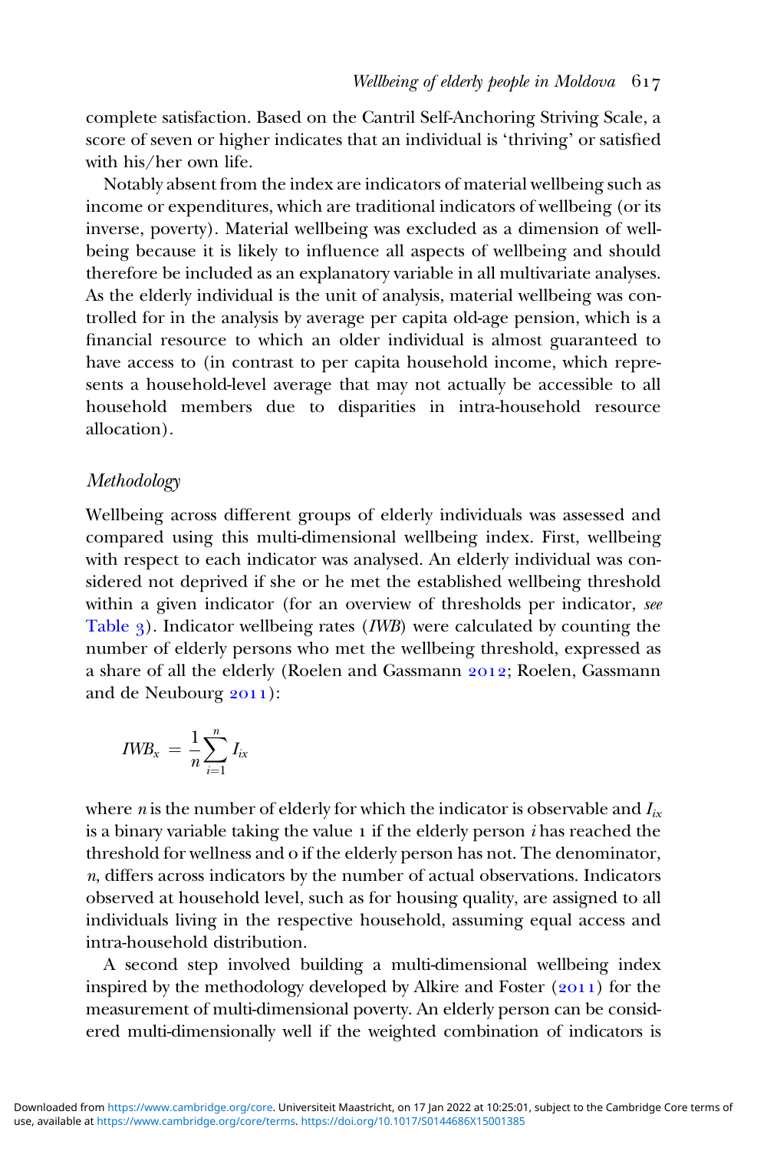complete satisfaction. Based on the Cantril Self-Anchoring Striving Scale, a score of seven or higher indicates that an individual is 'thriving' or satisfied with his/her own life.

Notably absent from the index are indicators of material wellbeing such as income or expenditures, which are traditional indicators of wellbeing (or its inverse, poverty). Material wellbeing was excluded as a dimension of wellbeing because it is likely to influence all aspects of wellbeing and should therefore be included as an explanatory variable in all multivariate analyses. As the elderly individual is the unit of analysis, material wellbeing was controlled for in the analysis by average per capita old-age pension, which is a financial resource to which an older individual is almost guaranteed to have access to (in contrast to per capita household income, which represents a household-level average that may not actually be accessible to all household members due to disparities in intra-household resource allocation).

## Methodology

Wellbeing across different groups of elderly individuals was assessed and compared using this multi-dimensional wellbeing index. First, wellbeing with respect to each indicator was analysed. An elderly individual was considered not deprived if she or he met the established wellbeing threshold within a given indicator (for an overview of thresholds per indicator, see [Table](#page-12-0)  $\alpha$ ). Indicator wellbeing rates (*IWB*) were calculated by counting the number of elderly persons who met the wellbeing threshold, expressed as a share of all the elderly (Roelen and Gassmann 2012; Roelen, Gassmann and de Neubourg 2011):

$$
I W B_x = \frac{1}{n} \sum_{i=1}^n I_{ix}
$$

where *n* is the number of elderly for which the indicator is observable and  $I_{ix}$ is a binary variable taking the value  $1$  if the elderly person  $i$  has reached the threshold for wellness and o if the elderly person has not. The denominator, n, differs across indicators by the number of actual observations. Indicators observed at household level, such as for housing quality, are assigned to all individuals living in the respective household, assuming equal access and intra-household distribution.

A second step involved building a multi-dimensional wellbeing index inspired by the methodology developed by Alkire and Foster  $(2011)$  for the measurement of multi-dimensional poverty. An elderly person can be considered multi-dimensionally well if the weighted combination of indicators is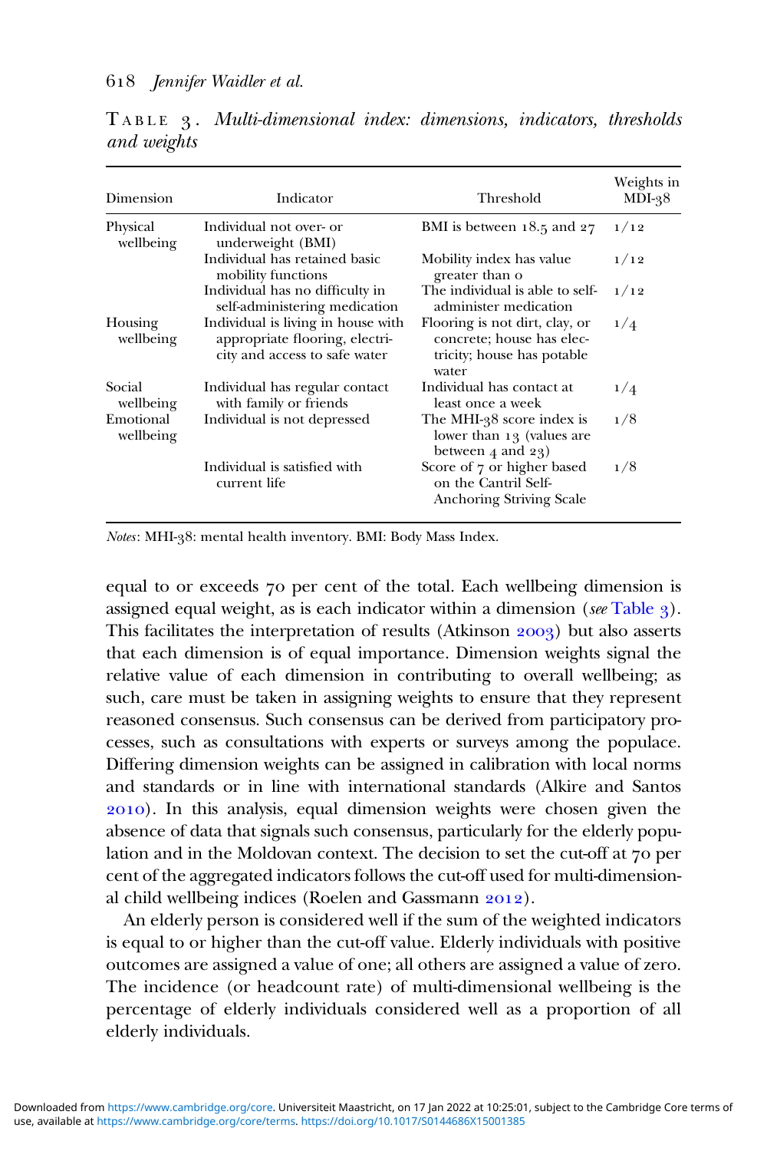| Dimension              | Indicator                                                                                             | Threshold                                                                                          | Weights in<br>$MDI-38$ |
|------------------------|-------------------------------------------------------------------------------------------------------|----------------------------------------------------------------------------------------------------|------------------------|
| Physical<br>wellbeing  | Individual not over- or<br>underweight (BMI)                                                          | BMI is between $18.5$ and $27$                                                                     | 1/12                   |
|                        | Individual has retained basic<br>mobility functions                                                   | Mobility index has value<br>greater than o                                                         | 1/12                   |
|                        | Individual has no difficulty in<br>self-administering medication                                      | The individual is able to self-<br>administer medication                                           | 1/12                   |
| Housing<br>wellbeing   | Individual is living in house with<br>appropriate flooring, electri-<br>city and access to safe water | Flooring is not dirt, clay, or<br>concrete; house has elec-<br>tricity; house has potable<br>water | 1/4                    |
| Social<br>wellbeing    | Individual has regular contact<br>with family or friends                                              | Individual has contact at<br>least once a week                                                     | 1/4                    |
| Emotional<br>wellbeing | Individual is not depressed                                                                           | The MHI-38 score index is<br>lower than 13 (values are<br>between $4$ and $23$ )                   | 1/8                    |
|                        | Individual is satisfied with<br>current life                                                          | Score of 7 or higher based<br>on the Cantril Self-<br>Anchoring Striving Scale                     | 1/8                    |

<span id="page-12-0"></span>TABLE 3. Multi-dimensional index: dimensions, indicators, thresholds and weights

Notes: MHI-38: mental health inventory. BMI: Body Mass Index.

equal to or exceeds 70 per cent of the total. Each wellbeing dimension is assigned equal weight, as is each indicator within a dimension (see Table  $\alpha$ ). This facilitates the interpretation of results (Atkinson  $2003$ ) but also asserts that each dimension is of equal importance. Dimension weights signal the relative value of each dimension in contributing to overall wellbeing; as such, care must be taken in assigning weights to ensure that they represent reasoned consensus. Such consensus can be derived from participatory processes, such as consultations with experts or surveys among the populace. Differing dimension weights can be assigned in calibration with local norms and standards or in line with international standards (Alkire and Santos ). In this analysis, equal dimension weights were chosen given the absence of data that signals such consensus, particularly for the elderly population and in the Moldovan context. The decision to set the cut-off at 70 per cent of the aggregated indicators follows the cut-off used for multi-dimensional child wellbeing indices (Roelen and Gassmann  $2012$ ).

An elderly person is considered well if the sum of the weighted indicators is equal to or higher than the cut-off value. Elderly individuals with positive outcomes are assigned a value of one; all others are assigned a value of zero. The incidence (or headcount rate) of multi-dimensional wellbeing is the percentage of elderly individuals considered well as a proportion of all elderly individuals.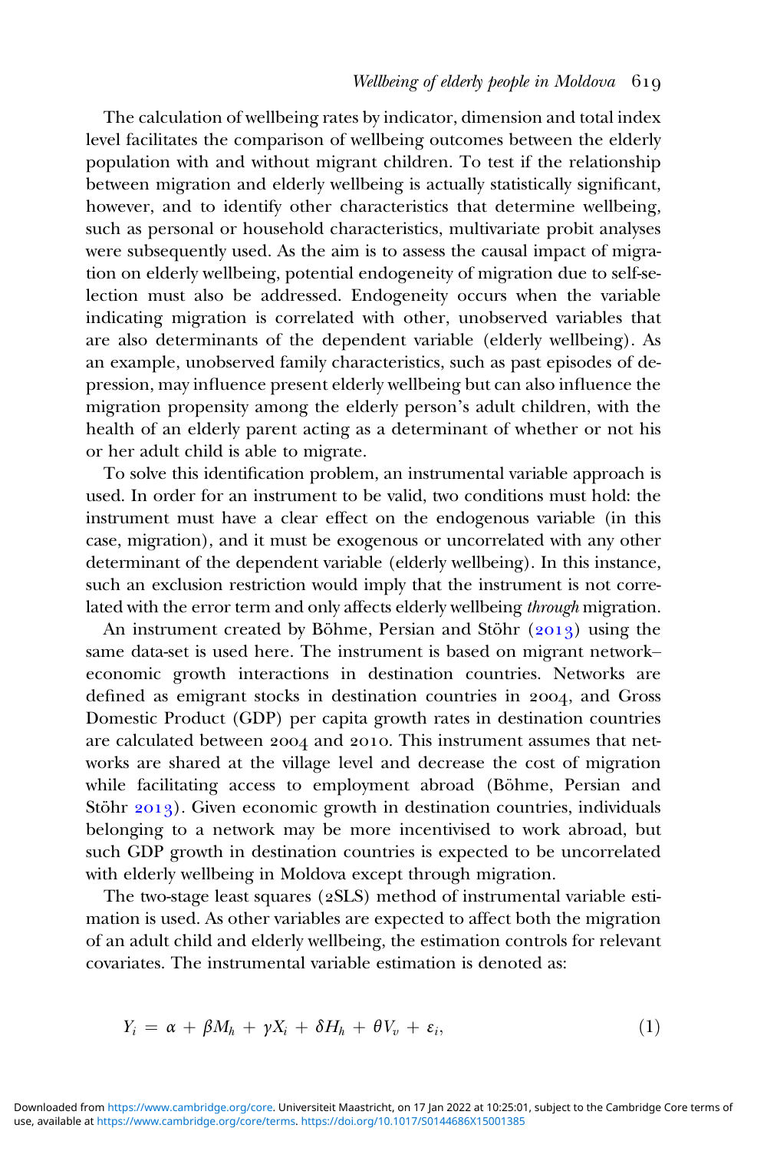The calculation of wellbeing rates by indicator, dimension and total index level facilitates the comparison of wellbeing outcomes between the elderly population with and without migrant children. To test if the relationship between migration and elderly wellbeing is actually statistically significant, however, and to identify other characteristics that determine wellbeing, such as personal or household characteristics, multivariate probit analyses were subsequently used. As the aim is to assess the causal impact of migration on elderly wellbeing, potential endogeneity of migration due to self-selection must also be addressed. Endogeneity occurs when the variable indicating migration is correlated with other, unobserved variables that are also determinants of the dependent variable (elderly wellbeing). As an example, unobserved family characteristics, such as past episodes of depression, may influence present elderly wellbeing but can also influence the migration propensity among the elderly person's adult children, with the health of an elderly parent acting as a determinant of whether or not his or her adult child is able to migrate.

To solve this identification problem, an instrumental variable approach is used. In order for an instrument to be valid, two conditions must hold: the instrument must have a clear effect on the endogenous variable (in this case, migration), and it must be exogenous or uncorrelated with any other determinant of the dependent variable (elderly wellbeing). In this instance, such an exclusion restriction would imply that the instrument is not correlated with the error term and only affects elderly wellbeing through migration.

An instrument created by Böhme, Persian and Stöhr  $(2013)$  using the same data-set is used here. The instrument is based on migrant network– economic growth interactions in destination countries. Networks are defined as emigrant stocks in destination countries in 2004, and Gross Domestic Product (GDP) per capita growth rates in destination countries are calculated between 2004 and 2010. This instrument assumes that networks are shared at the village level and decrease the cost of migration while facilitating access to employment abroad (Böhme, Persian and Stöhr  $2013$ ). Given economic growth in destination countries, individuals belonging to a network may be more incentivised to work abroad, but such GDP growth in destination countries is expected to be uncorrelated with elderly wellbeing in Moldova except through migration.

The two-stage least squares (2SLS) method of instrumental variable estimation is used. As other variables are expected to affect both the migration of an adult child and elderly wellbeing, the estimation controls for relevant covariates. The instrumental variable estimation is denoted as:

$$
Y_i = \alpha + \beta M_h + \gamma X_i + \delta H_h + \theta V_v + \varepsilon_i, \qquad (1)
$$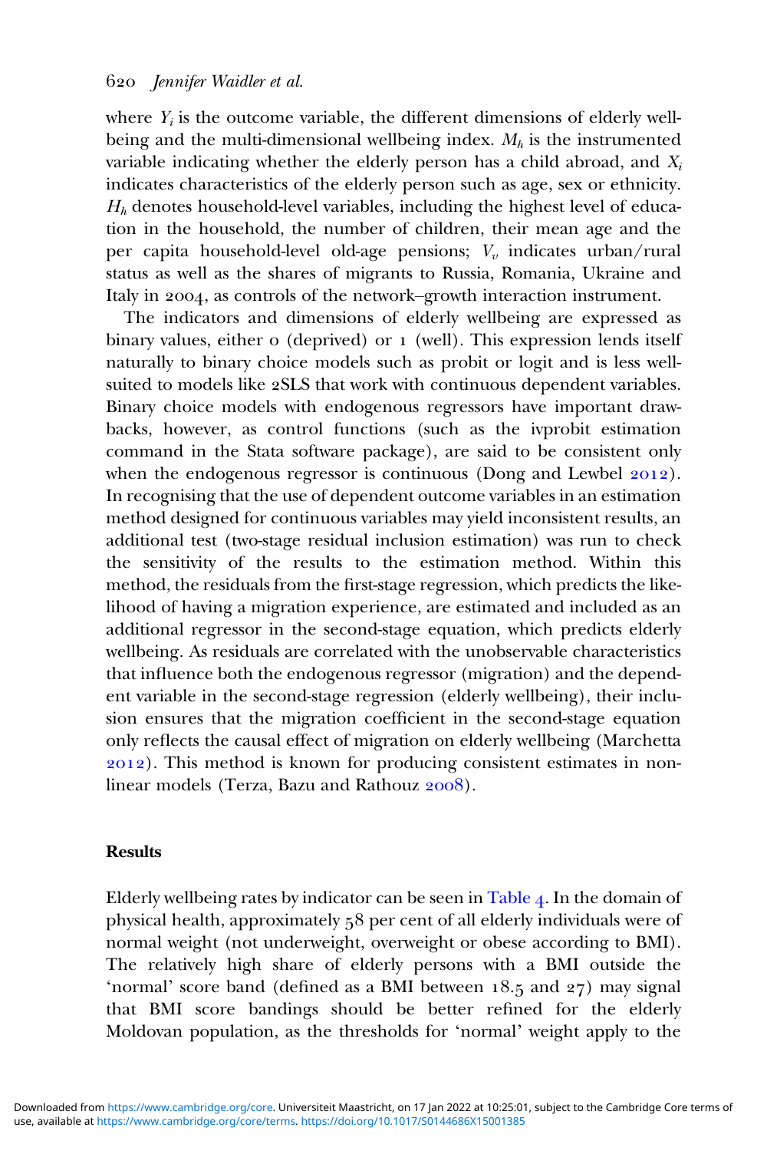where  $Y_i$  is the outcome variable, the different dimensions of elderly wellbeing and the multi-dimensional wellbeing index.  $M_h$  is the instrumented variable indicating whether the elderly person has a child abroad, and  $X_i$ indicates characteristics of the elderly person such as age, sex or ethnicity.  $H_h$  denotes household-level variables, including the highest level of education in the household, the number of children, their mean age and the per capita household-level old-age pensions;  $V_v$  indicates urban/rural status as well as the shares of migrants to Russia, Romania, Ukraine and Italy in 2004, as controls of the network–growth interaction instrument.

The indicators and dimensions of elderly wellbeing are expressed as binary values, either  $\sigma$  (deprived) or  $\sigma$  (well). This expression lends itself naturally to binary choice models such as probit or logit and is less wellsuited to models like 2SLS that work with continuous dependent variables. Binary choice models with endogenous regressors have important drawbacks, however, as control functions (such as the ivprobit estimation command in the Stata software package), are said to be consistent only when the endogenous regressor is continuous (Dong and Lewbel  $2012$ ). In recognising that the use of dependent outcome variables in an estimation method designed for continuous variables may yield inconsistent results, an additional test (two-stage residual inclusion estimation) was run to check the sensitivity of the results to the estimation method. Within this method, the residuals from the first-stage regression, which predicts the likelihood of having a migration experience, are estimated and included as an additional regressor in the second-stage equation, which predicts elderly wellbeing. As residuals are correlated with the unobservable characteristics that influence both the endogenous regressor (migration) and the dependent variable in the second-stage regression (elderly wellbeing), their inclusion ensures that the migration coefficient in the second-stage equation only reflects the causal effect of migration on elderly wellbeing (Marchetta ). This method is known for producing consistent estimates in nonlinear models (Terza, Bazu and Rathouz 2008).

### Results

Elderly wellbeing rates by indicator can be seen in [Table](#page-15-0)  $\mu$ . In the domain of physical health, approximately 58 per cent of all elderly individuals were of normal weight (not underweight, overweight or obese according to BMI). The relatively high share of elderly persons with a BMI outside the 'normal' score band (defined as a BMI between  $18.5$  and  $27$ ) may signal that BMI score bandings should be better refined for the elderly Moldovan population, as the thresholds for 'normal' weight apply to the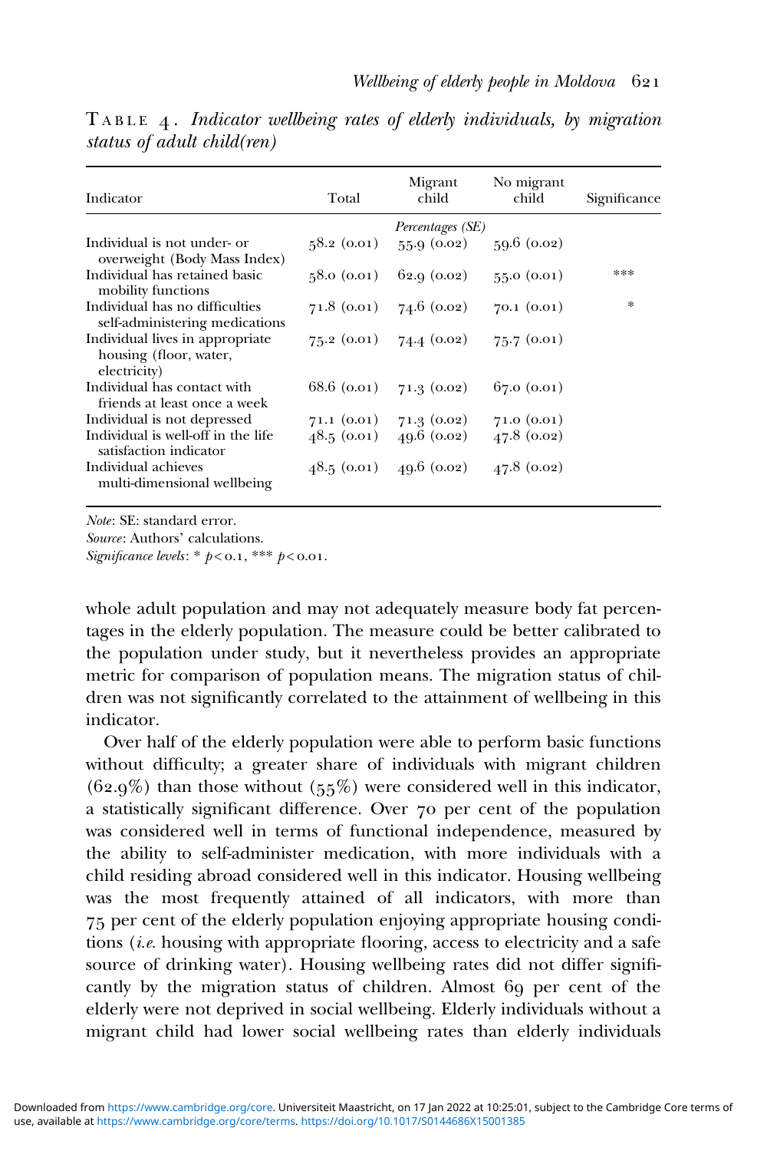| Indicator                                                                 | Total       | Migrant<br>child          | No migrant<br>child | Significance |
|---------------------------------------------------------------------------|-------------|---------------------------|---------------------|--------------|
|                                                                           |             | <i>Percentages (SE)</i>   |                     |              |
| Individual is not under- or<br>overweight (Body Mass Index)               | 58.2(0.01)  | 55.9(0.02)                | 59.6(0.02)          |              |
| Individual has retained basic<br>mobility functions                       | 58.0(0.01)  | 62.9(0.02)                | 55.0(0.01)          | ***          |
| Individual has no difficulties<br>self-administering medications          | 71.8(0.01)  | 74.6(0.02)                | 70.1(0.01)          | ×.           |
| Individual lives in appropriate<br>housing (floor, water,<br>electricity) |             | $75.2(0.01)$ $74.4(0.02)$ | 75.7(0.01)          |              |
| Individual has contact with<br>friends at least once a week               | 68.6 (0.01) | 71.3(0.02)                | 67.0(0.01)          |              |
| Individual is not depressed                                               |             | $71.1(0.01)$ $71.3(0.02)$ | 71.0(0.01)          |              |
| Individual is well-off in the life<br>satisfaction indicator              |             | $48.5(0.01)$ $49.6(0.02)$ | 47.8(0.02)          |              |
| Individual achieves<br>multi-dimensional wellbeing                        | 48.5(0.01)  | 49.6(0.02)                | 47.8(0.02)          |              |

<span id="page-15-0"></span> $T$ ABLE 4. Indicator wellbeing rates of elderly individuals, by migration status of adult child(ren)

Note: SE: standard error.

Source: Authors' calculations.

Significance levels: \*  $p < 0.1$ , \*\*\*  $p < 0.01$ .

whole adult population and may not adequately measure body fat percentages in the elderly population. The measure could be better calibrated to the population under study, but it nevertheless provides an appropriate metric for comparison of population means. The migration status of children was not significantly correlated to the attainment of wellbeing in this indicator.

Over half of the elderly population were able to perform basic functions without difficulty; a greater share of individuals with migrant children  $(62.9\%)$  than those without ( $55\%$ ) were considered well in this indicator, a statistically significant difference. Over 70 per cent of the population was considered well in terms of functional independence, measured by the ability to self-administer medication, with more individuals with a child residing abroad considered well in this indicator. Housing wellbeing was the most frequently attained of all indicators, with more than per cent of the elderly population enjoying appropriate housing conditions (i.e. housing with appropriate flooring, access to electricity and a safe source of drinking water). Housing wellbeing rates did not differ significantly by the migration status of children. Almost 6q per cent of the elderly were not deprived in social wellbeing. Elderly individuals without a migrant child had lower social wellbeing rates than elderly individuals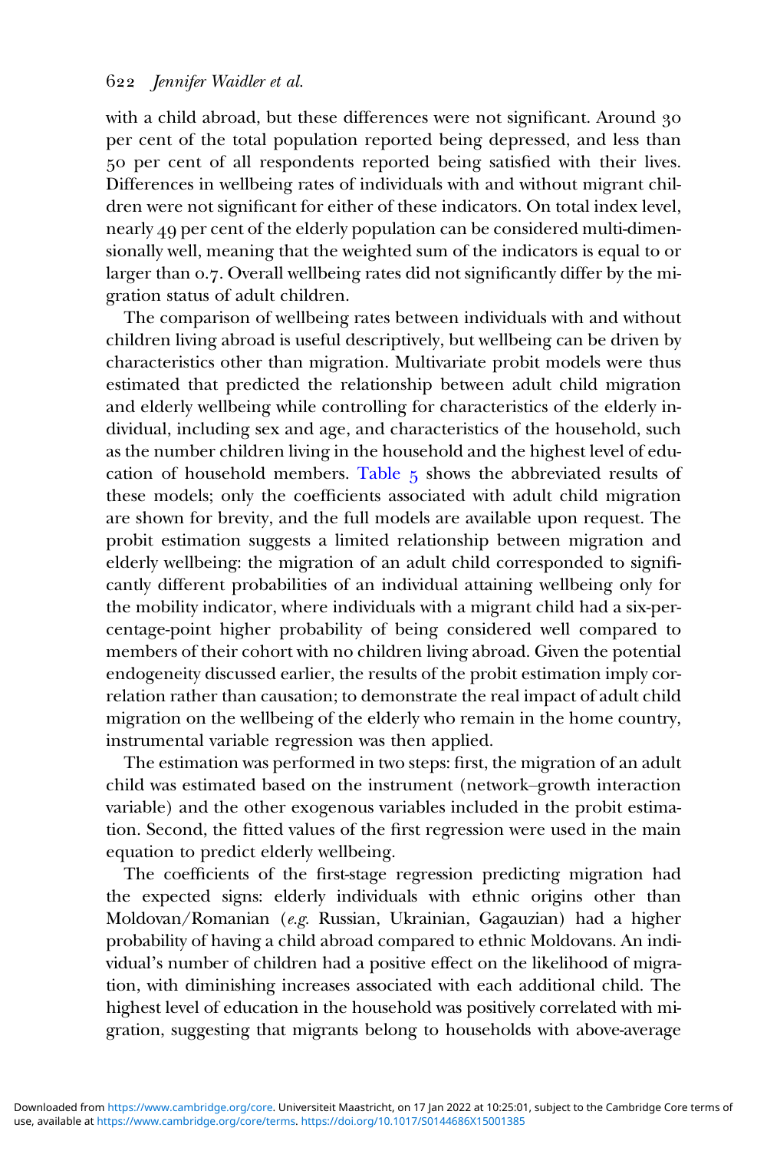with a child abroad, but these differences were not significant. Around 30 per cent of the total population reported being depressed, and less than per cent of all respondents reported being satisfied with their lives. Differences in wellbeing rates of individuals with and without migrant children were not significant for either of these indicators. On total index level, nearly 49 per cent of the elderly population can be considered multi-dimensionally well, meaning that the weighted sum of the indicators is equal to or larger than 0.7. Overall wellbeing rates did not significantly differ by the migration status of adult children.

The comparison of wellbeing rates between individuals with and without children living abroad is useful descriptively, but wellbeing can be driven by characteristics other than migration. Multivariate probit models were thus estimated that predicted the relationship between adult child migration and elderly wellbeing while controlling for characteristics of the elderly individual, including sex and age, and characteristics of the household, such as the number children living in the household and the highest level of edu-cation of household members. [Table](#page-17-0) 5 shows the abbreviated results of these models; only the coefficients associated with adult child migration are shown for brevity, and the full models are available upon request. The probit estimation suggests a limited relationship between migration and elderly wellbeing: the migration of an adult child corresponded to significantly different probabilities of an individual attaining wellbeing only for the mobility indicator, where individuals with a migrant child had a six-percentage-point higher probability of being considered well compared to members of their cohort with no children living abroad. Given the potential endogeneity discussed earlier, the results of the probit estimation imply correlation rather than causation; to demonstrate the real impact of adult child migration on the wellbeing of the elderly who remain in the home country, instrumental variable regression was then applied.

The estimation was performed in two steps: first, the migration of an adult child was estimated based on the instrument (network–growth interaction variable) and the other exogenous variables included in the probit estimation. Second, the fitted values of the first regression were used in the main equation to predict elderly wellbeing.

The coefficients of the first-stage regression predicting migration had the expected signs: elderly individuals with ethnic origins other than Moldovan/Romanian (e.g. Russian, Ukrainian, Gagauzian) had a higher probability of having a child abroad compared to ethnic Moldovans. An individual's number of children had a positive effect on the likelihood of migration, with diminishing increases associated with each additional child. The highest level of education in the household was positively correlated with migration, suggesting that migrants belong to households with above-average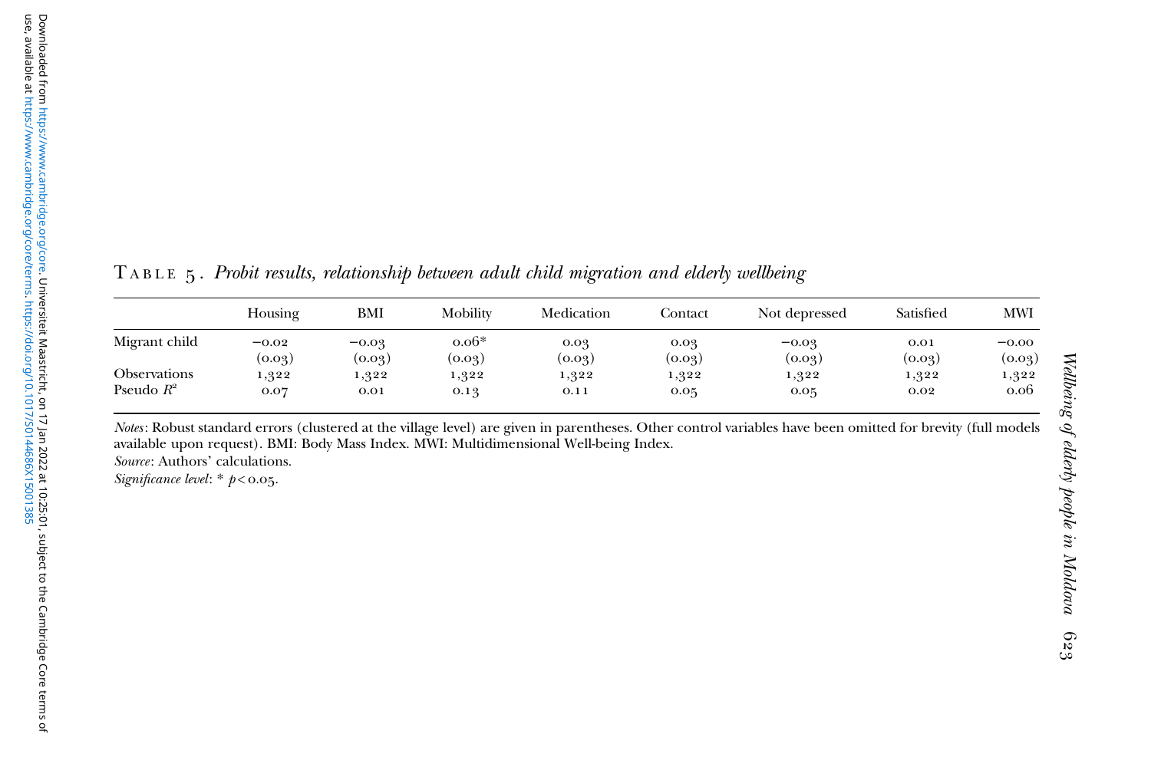<span id="page-17-0"></span>

|               | Housing | BMI     | Mobility | Medication | Contact | Not depressed | Satisfied | <b>MWI</b> |
|---------------|---------|---------|----------|------------|---------|---------------|-----------|------------|
| Migrant child | $-0.02$ | $-0.03$ | $0.06*$  | 0.03       | 0.03    | $-0.03$       | 0.01      | $-0.00$    |
|               | (0.03)  | (0.03)  | (0.03)   | (0.03)     | (0.03)  | (0.03)        | (0.03)    | (0.03)     |
| Observations  | 1,322   | 1,322   | 1,322    | 1,322      | 1,322   | 1,322         | 1,322     | 1,322      |
| Pseudo $R^2$  | 0.07    | 0.01    | 0.13     | 0.11       | 0.05    | 0.05          | 0.02      | 0.06       |

Notes: Robust standard errors (clustered at the village level) are given in parentheses. Other control variables have been omitted for brevity (full models available upon request). BMI: Body Mass Index. MWI: Multidimensional Well-being Index.

Source: Authors' calculations.

Significance level: \*  $p < 0.05$ .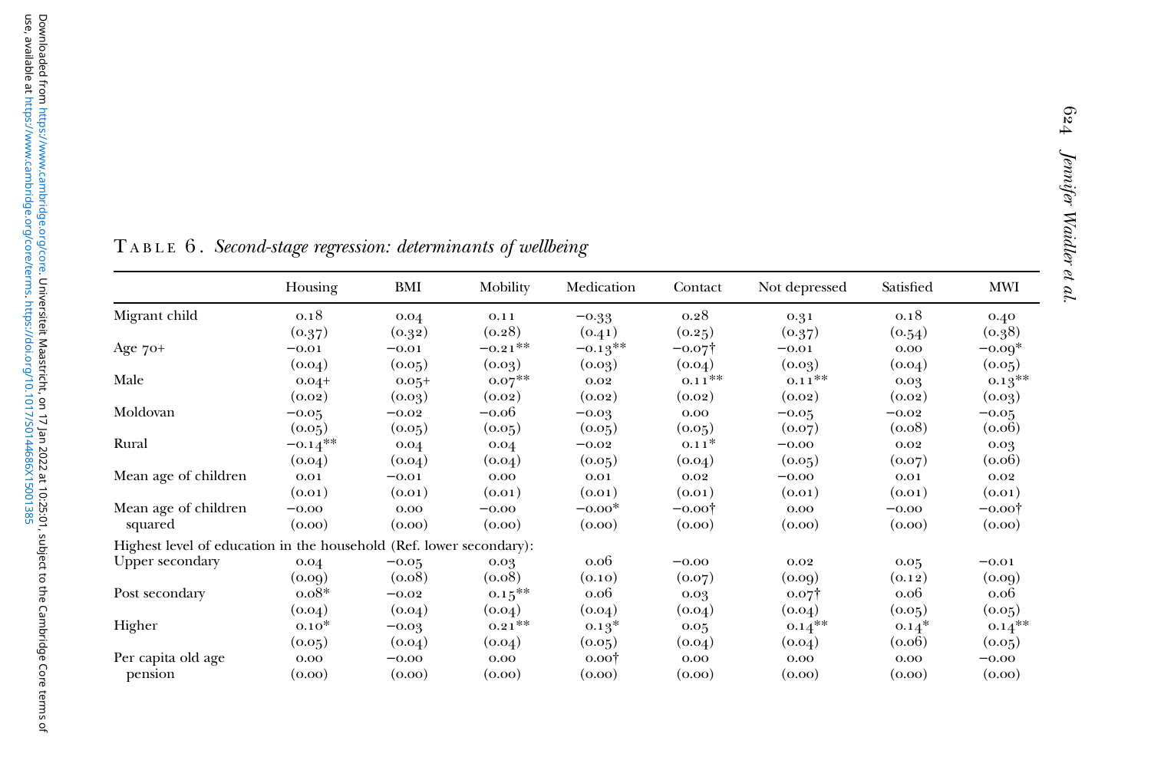|                                                                     | Housing    | BMI     | Mobility  | Medication     | Contact         | Not depressed       | Satisfied | <b>MWI</b>      |
|---------------------------------------------------------------------|------------|---------|-----------|----------------|-----------------|---------------------|-----------|-----------------|
| Migrant child                                                       | 0.18       | 0.04    | 0.11      | $-0.33$        | 0.28            | 0.31                | 0.18      | 0.40            |
|                                                                     | (0.37)     | (0.32)  | (0.28)    | (0.41)         | (0.25)          | (0.37)              | (0.54)    | (0.38)          |
| Age $70+$                                                           | $-0.01$    | $-0.01$ | $-0.21**$ | $-0.13***$     | $-0.07$ †       | $-0.01$             | 0.00      | $-0.09*$        |
|                                                                     | (0.04)     | (0.05)  | (0.03)    | (0.03)         | (0.04)          | (0.03)              | (0.04)    | (0.05)          |
| Male                                                                | $0.04+$    | $0.05+$ | $0.07***$ | 0.02           | $0.11**$        | $0.11***$           | 0.03      | $0.13***$       |
|                                                                     | (0.02)     | (0.03)  | (0.02)    | (0.02)         | (0.02)          | (0.02)              | (0.02)    | (0.03)          |
| Moldovan                                                            | $-0.05$    | $-0.02$ | -0.06     | $-0.03$        | 0.00            | $-0.05$             | $-0.02$   | $-0.05$         |
|                                                                     | (0.05)     | (0.05)  | (0.05)    | (0.05)         | (0.05)          | (0.07)              | (0.08)    | (0.06)          |
| Rural                                                               | $-0.14***$ | 0.04    | 0.04      | $-0.02$        | $0.11*$         | $-0.00$             | 0.02      | 0.03            |
|                                                                     | (0.04)     | (0.04)  | (0.04)    | (0.05)         | (0.04)          | (0.05)              | (0.07)    | (0.06)          |
| Mean age of children                                                | 0.01       | $-0.01$ | 0.00      | 0.01           | 0.02            | $-0.00$             | 0.01      | 0.02            |
|                                                                     | (0.01)     | (0.01)  | (0.01)    | (0.01)         | (0.01)          | (0.01)              | (0.01)    | (0.01)          |
| Mean age of children                                                | $-0.00$    | 0.00    | $-0.00$   | $-0.00*$       | $-0.00\ddagger$ | 0.00                | $-0.00$   | $-0.00\ddagger$ |
| squared                                                             | (0.00)     | (0.00)  | (0.00)    | (0.00)         | (0.00)          | (0.00)              | (0.00)    | (0.00)          |
| Highest level of education in the household (Ref. lower secondary): |            |         |           |                |                 |                     |           |                 |
| Upper secondary                                                     | 0.04       | $-0.05$ | 0.03      | 0.06           | $-0.00$         | 0.02                | 0.05      | $-0.01$         |
|                                                                     | (0.09)     | (0.08)  | (0.08)    | (0.10)         | (0.07)          | (0.09)              | (0.12)    | (0.09)          |
| Post secondary                                                      | $0.08*$    | $-0.02$ | $0.15***$ | 0.06           | 0.03            | $0.07$ <sup>†</sup> | 0.06      | 0.06            |
|                                                                     | (0.04)     | (0.04)  | (0.04)    | (0.04)         | (0.04)          | (0.04)              | (0.05)    | (0.05)          |
| Higher                                                              | $0.10*$    | $-0.03$ | $0.21***$ | $0.13*$        | 0.05            | $0.14***$           | $0.14*$   | $0.14***$       |
|                                                                     | (0.05)     | (0.04)  | (0.04)    | (0.05)         | (0.04)          | (0.04)              | (0.06)    | (0.05)          |
| Per capita old age                                                  | 0.00       | $-0.00$ | 0.00      | $0.00\ddagger$ | 0.00            | 0.00                | 0.00      | $-0.00$         |
| pension                                                             | (0.00)     | (0.00)  | (0.00)    | (0.00)         | (0.00)          | (0.00)              | (0.00)    | (0.00)          |

<span id="page-18-0"></span>TABLE 6. Second-stage regression: determinants of wellbeing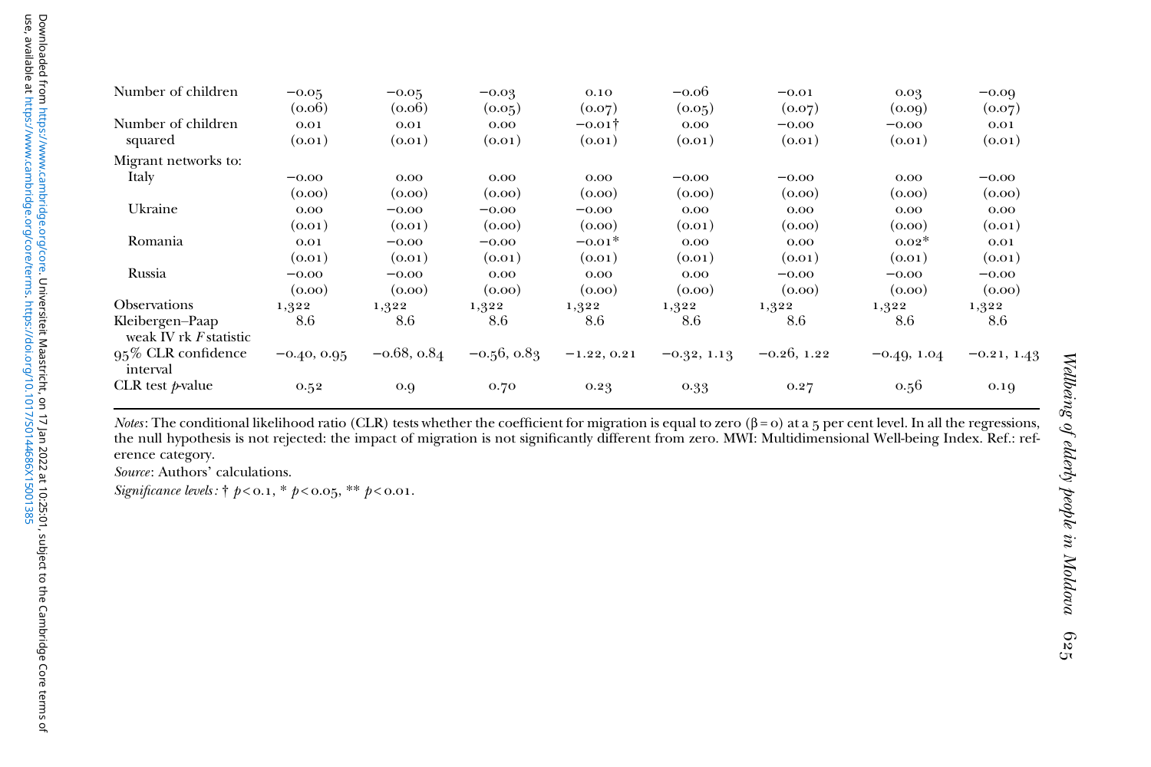| Number of children                            | $-0.05$       | $-0.05$       | $-0.03$       | 0.10           | $-0.06$       | $-0.01$       | 0.03          | $-0.09$       |
|-----------------------------------------------|---------------|---------------|---------------|----------------|---------------|---------------|---------------|---------------|
|                                               | (0.06)        | (0.06)        | (0.05)        | (0.07)         | (0.05)        | (0.07)        | (0.09)        | (0.07)        |
| Number of children                            | 0.01          | 0.01          | 0.00          | $-0.01\dagger$ | 0.00          | $-0.00$       | $-0.00$       | 0.01          |
| squared                                       | (0.01)        | (0.01)        | (0.01)        | (0.01)         | (0.01)        | (0.01)        | (0.01)        | (0.01)        |
| Migrant networks to:                          |               |               |               |                |               |               |               |               |
| Italy                                         | $-0.00$       | 0.00          | 0.00          | 0.00           | $-0.00$       | $-0.00$       | 0.00          | $-0.00$       |
|                                               | (0.00)        | (0.00)        | (0.00)        | (0.00)         | (0.00)        | (0.00)        | (0.00)        | (0.00)        |
| Ukraine                                       | 0.00          | $-0.00$       | $-0.00$       | $-0.00$        | 0.00          | 0.00          | 0.00          | 0.00          |
|                                               | (0.01)        | (0.01)        | (0.00)        | (0.00)         | (0.01)        | (0.00)        | (0.00)        | (0.01)        |
| Romania                                       | 0.01          | $-0.00$       | $-0.00$       | $-0.01*$       | 0.00          | 0.00          | $0.02*$       | 0.01          |
|                                               | (0.01)        | (0.01)        | (0.01)        | (0.01)         | (0.01)        | (0.01)        | (0.01)        | (0.01)        |
| Russia                                        | $-0.00$       | $-0.00$       | 0.00          | 0.00           | 0.00          | $-0.00$       | $-0.00$       | $-0.00$       |
|                                               | (0.00)        | (0.00)        | (0.00)        | (0.00)         | (0.00)        | (0.00)        | (0.00)        | (0.00)        |
| <b>Observations</b>                           | 1,322         | 1,322         | 1,322         | 1,322          | 1,322         | 1,322         | 1,322         | 1,322         |
| Kleibergen-Paap<br>weak IV $rk$ $F$ statistic | 8.6           | 8.6           | 8.6           | 8.6            | 8.6           | 8.6           | 8.6           | 8.6           |
| $95\%$ CLR confidence<br>interval             | $-0.40, 0.95$ | $-0.68, 0.84$ | $-0.56, 0.83$ | $-1.22, 0.21$  | $-0.32, 1.13$ | $-0.26, 1.22$ | $-0.49, 1.04$ | $-0.21, 1.42$ |
| CLR test $p$ -value                           | 0.52          | 0.9           | 0.70          | 0.23           | 0.33          | 0.27          | 0.56          | 0.19          |

Notes: The conditional likelihood ratio (CLR) tests whether the coefficient for migration is equal to zero (β = 0) at a 5 per cent level. In all the regressions, the null hypothesis is not rejected: the impact of migration is not significantly different from zero. MWI: Multidimensional Well-being Index. Ref.: reference category.

Source: Authors' calculations.

Significance levels:  $\dagger p < 0.1$ ,  $* p < 0.05$ ,  $** p < 0.01$ .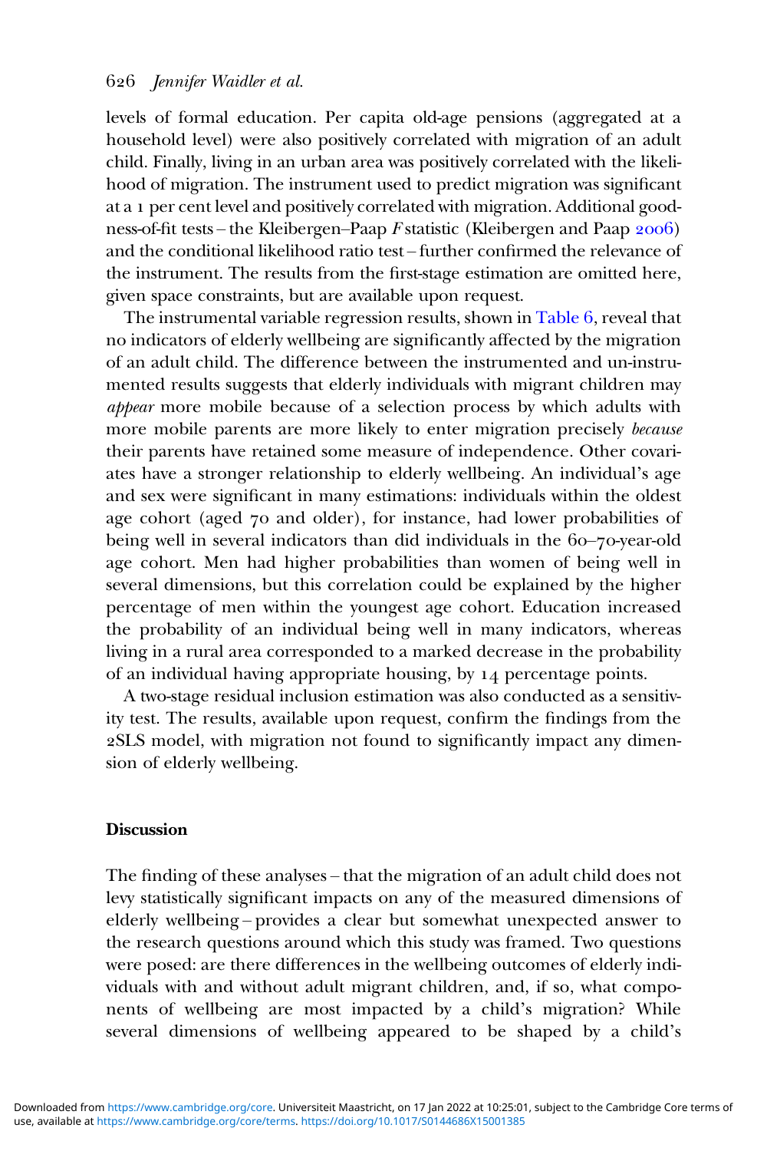levels of formal education. Per capita old-age pensions (aggregated at a household level) were also positively correlated with migration of an adult child. Finally, living in an urban area was positively correlated with the likelihood of migration. The instrument used to predict migration was significant at a per cent level and positively correlated with migration. Additional goodness-of-fit tests – the Kleibergen–Paap F statistic (Kleibergen and Paap  $2006$ ) and the conditional likelihood ratio test – further confirmed the relevance of the instrument. The results from the first-stage estimation are omitted here, given space constraints, but are available upon request.

The instrumental variable regression results, shown in [Table](#page-18-0)  $6$ , reveal that no indicators of elderly wellbeing are significantly affected by the migration of an adult child. The difference between the instrumented and un-instrumented results suggests that elderly individuals with migrant children may appear more mobile because of a selection process by which adults with more mobile parents are more likely to enter migration precisely because their parents have retained some measure of independence. Other covariates have a stronger relationship to elderly wellbeing. An individual's age and sex were significant in many estimations: individuals within the oldest age cohort (aged 70 and older), for instance, had lower probabilities of being well in several indicators than did individuals in the 60-70-year-old age cohort. Men had higher probabilities than women of being well in several dimensions, but this correlation could be explained by the higher percentage of men within the youngest age cohort. Education increased the probability of an individual being well in many indicators, whereas living in a rural area corresponded to a marked decrease in the probability of an individual having appropriate housing, by  $14$  percentage points.

A two-stage residual inclusion estimation was also conducted as a sensitivity test. The results, available upon request, confirm the findings from the SLS model, with migration not found to significantly impact any dimension of elderly wellbeing.

## Discussion

The finding of these analyses – that the migration of an adult child does not levy statistically significant impacts on any of the measured dimensions of elderly wellbeing – provides a clear but somewhat unexpected answer to the research questions around which this study was framed. Two questions were posed: are there differences in the wellbeing outcomes of elderly individuals with and without adult migrant children, and, if so, what components of wellbeing are most impacted by a child's migration? While several dimensions of wellbeing appeared to be shaped by a child's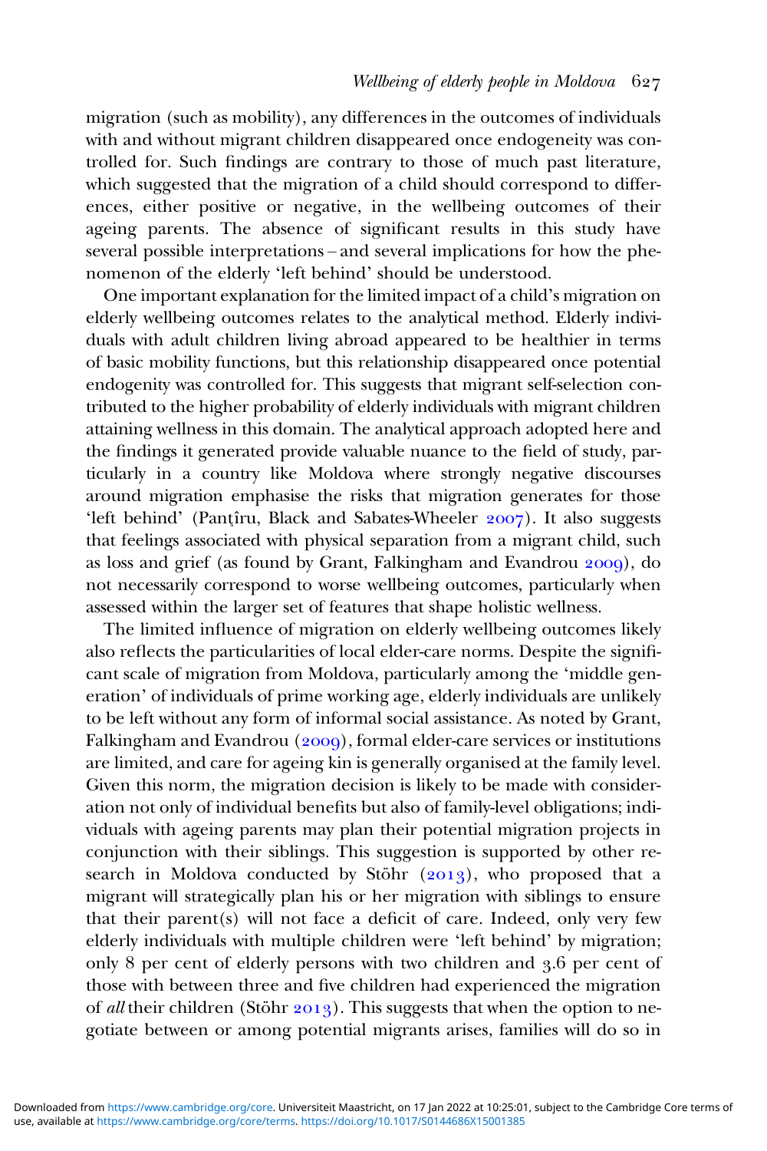migration (such as mobility), any differences in the outcomes of individuals with and without migrant children disappeared once endogeneity was controlled for. Such findings are contrary to those of much past literature, which suggested that the migration of a child should correspond to differences, either positive or negative, in the wellbeing outcomes of their ageing parents. The absence of significant results in this study have several possible interpretations – and several implications for how the phenomenon of the elderly 'left behind' should be understood.

One important explanation for the limited impact of a child's migration on elderly wellbeing outcomes relates to the analytical method. Elderly individuals with adult children living abroad appeared to be healthier in terms of basic mobility functions, but this relationship disappeared once potential endogenity was controlled for. This suggests that migrant self-selection contributed to the higher probability of elderly individuals with migrant children attaining wellness in this domain. The analytical approach adopted here and the findings it generated provide valuable nuance to the field of study, particularly in a country like Moldova where strongly negative discourses around migration emphasise the risks that migration generates for those 'left behind' (Pantîru, Black and Sabates-Wheeler 2007). It also suggests that feelings associated with physical separation from a migrant child, such as loss and grief (as found by Grant, Falkingham and Evandrou 2009), do not necessarily correspond to worse wellbeing outcomes, particularly when assessed within the larger set of features that shape holistic wellness.

The limited influence of migration on elderly wellbeing outcomes likely also reflects the particularities of local elder-care norms. Despite the significant scale of migration from Moldova, particularly among the 'middle generation' of individuals of prime working age, elderly individuals are unlikely to be left without any form of informal social assistance. As noted by Grant, Falkingham and Evandrou (2009), formal elder-care services or institutions are limited, and care for ageing kin is generally organised at the family level. Given this norm, the migration decision is likely to be made with consideration not only of individual benefits but also of family-level obligations; individuals with ageing parents may plan their potential migration projects in conjunction with their siblings. This suggestion is supported by other research in Moldova conducted by Stöhr  $(2013)$ , who proposed that a migrant will strategically plan his or her migration with siblings to ensure that their parent(s) will not face a deficit of care. Indeed, only very few elderly individuals with multiple children were 'left behind' by migration; only 8 per cent of elderly persons with two children and 3.6 per cent of those with between three and five children had experienced the migration of all their children (Stöhr  $2013$ ). This suggests that when the option to negotiate between or among potential migrants arises, families will do so in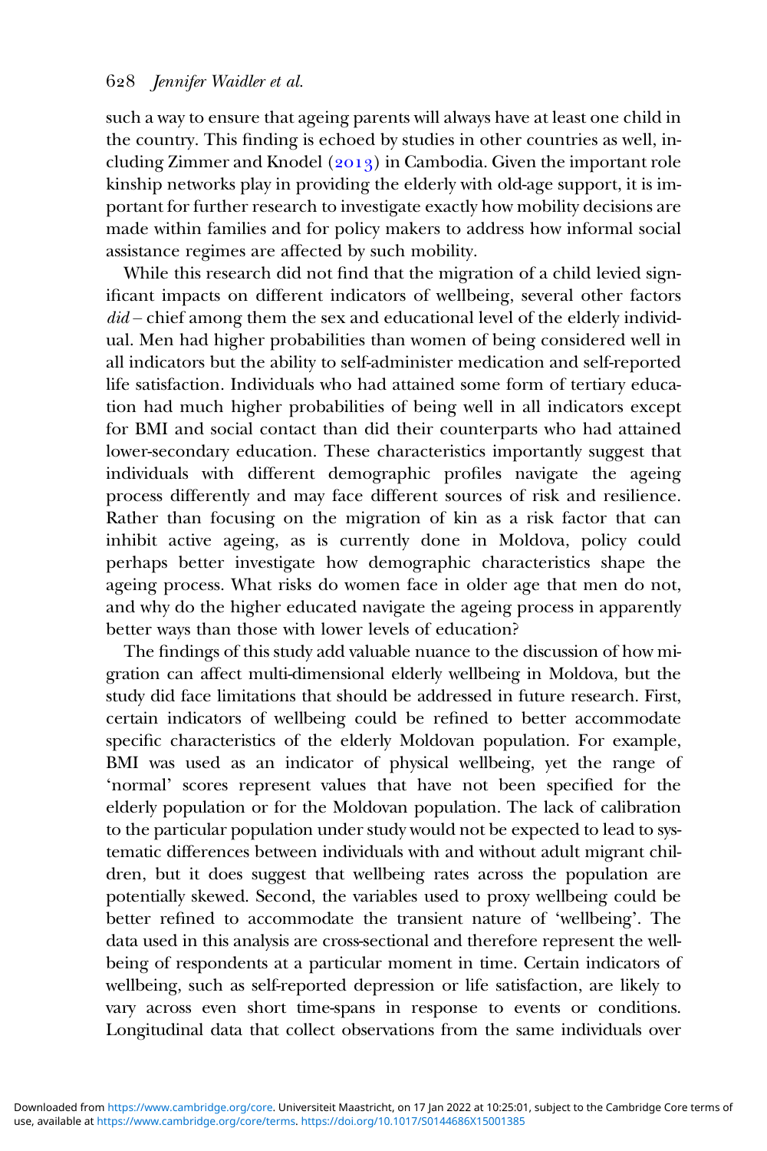such a way to ensure that ageing parents will always have at least one child in the country. This finding is echoed by studies in other countries as well, including Zimmer and Knodel  $(2013)$  in Cambodia. Given the important role kinship networks play in providing the elderly with old-age support, it is important for further research to investigate exactly how mobility decisions are made within families and for policy makers to address how informal social assistance regimes are affected by such mobility.

While this research did not find that the migration of a child levied significant impacts on different indicators of wellbeing, several other factors did – chief among them the sex and educational level of the elderly individual. Men had higher probabilities than women of being considered well in all indicators but the ability to self-administer medication and self-reported life satisfaction. Individuals who had attained some form of tertiary education had much higher probabilities of being well in all indicators except for BMI and social contact than did their counterparts who had attained lower-secondary education. These characteristics importantly suggest that individuals with different demographic profiles navigate the ageing process differently and may face different sources of risk and resilience. Rather than focusing on the migration of kin as a risk factor that can inhibit active ageing, as is currently done in Moldova, policy could perhaps better investigate how demographic characteristics shape the ageing process. What risks do women face in older age that men do not, and why do the higher educated navigate the ageing process in apparently better ways than those with lower levels of education?

The findings of this study add valuable nuance to the discussion of how migration can affect multi-dimensional elderly wellbeing in Moldova, but the study did face limitations that should be addressed in future research. First, certain indicators of wellbeing could be refined to better accommodate specific characteristics of the elderly Moldovan population. For example, BMI was used as an indicator of physical wellbeing, yet the range of 'normal' scores represent values that have not been specified for the elderly population or for the Moldovan population. The lack of calibration to the particular population under study would not be expected to lead to systematic differences between individuals with and without adult migrant children, but it does suggest that wellbeing rates across the population are potentially skewed. Second, the variables used to proxy wellbeing could be better refined to accommodate the transient nature of 'wellbeing'. The data used in this analysis are cross-sectional and therefore represent the wellbeing of respondents at a particular moment in time. Certain indicators of wellbeing, such as self-reported depression or life satisfaction, are likely to vary across even short time-spans in response to events or conditions. Longitudinal data that collect observations from the same individuals over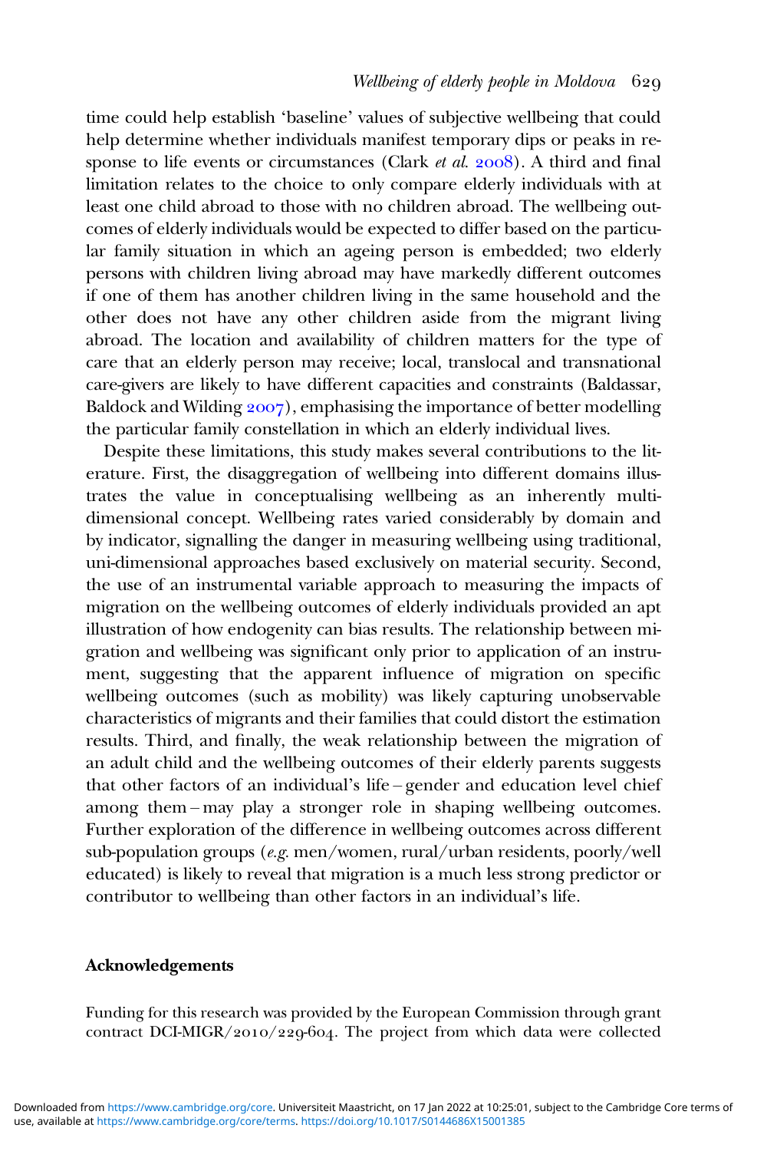time could help establish 'baseline' values of subjective wellbeing that could help determine whether individuals manifest temporary dips or peaks in response to life events or circumstances (Clark et al.  $2008$ ). A third and final limitation relates to the choice to only compare elderly individuals with at least one child abroad to those with no children abroad. The wellbeing outcomes of elderly individuals would be expected to differ based on the particular family situation in which an ageing person is embedded; two elderly persons with children living abroad may have markedly different outcomes if one of them has another children living in the same household and the other does not have any other children aside from the migrant living abroad. The location and availability of children matters for the type of care that an elderly person may receive; local, translocal and transnational care-givers are likely to have different capacities and constraints (Baldassar, Baldock and Wilding  $2007$ , emphasising the importance of better modelling the particular family constellation in which an elderly individual lives.

Despite these limitations, this study makes several contributions to the literature. First, the disaggregation of wellbeing into different domains illustrates the value in conceptualising wellbeing as an inherently multidimensional concept. Wellbeing rates varied considerably by domain and by indicator, signalling the danger in measuring wellbeing using traditional, uni-dimensional approaches based exclusively on material security. Second, the use of an instrumental variable approach to measuring the impacts of migration on the wellbeing outcomes of elderly individuals provided an apt illustration of how endogenity can bias results. The relationship between migration and wellbeing was significant only prior to application of an instrument, suggesting that the apparent influence of migration on specific wellbeing outcomes (such as mobility) was likely capturing unobservable characteristics of migrants and their families that could distort the estimation results. Third, and finally, the weak relationship between the migration of an adult child and the wellbeing outcomes of their elderly parents suggests that other factors of an individual's life – gender and education level chief among them – may play a stronger role in shaping wellbeing outcomes. Further exploration of the difference in wellbeing outcomes across different sub-population groups (e.g. men/women, rural/urban residents, poorly/well educated) is likely to reveal that migration is a much less strong predictor or contributor to wellbeing than other factors in an individual's life.

#### Acknowledgements

Funding for this research was provided by the European Commission through grant contract DCI-MIGR/2010/229-604. The project from which data were collected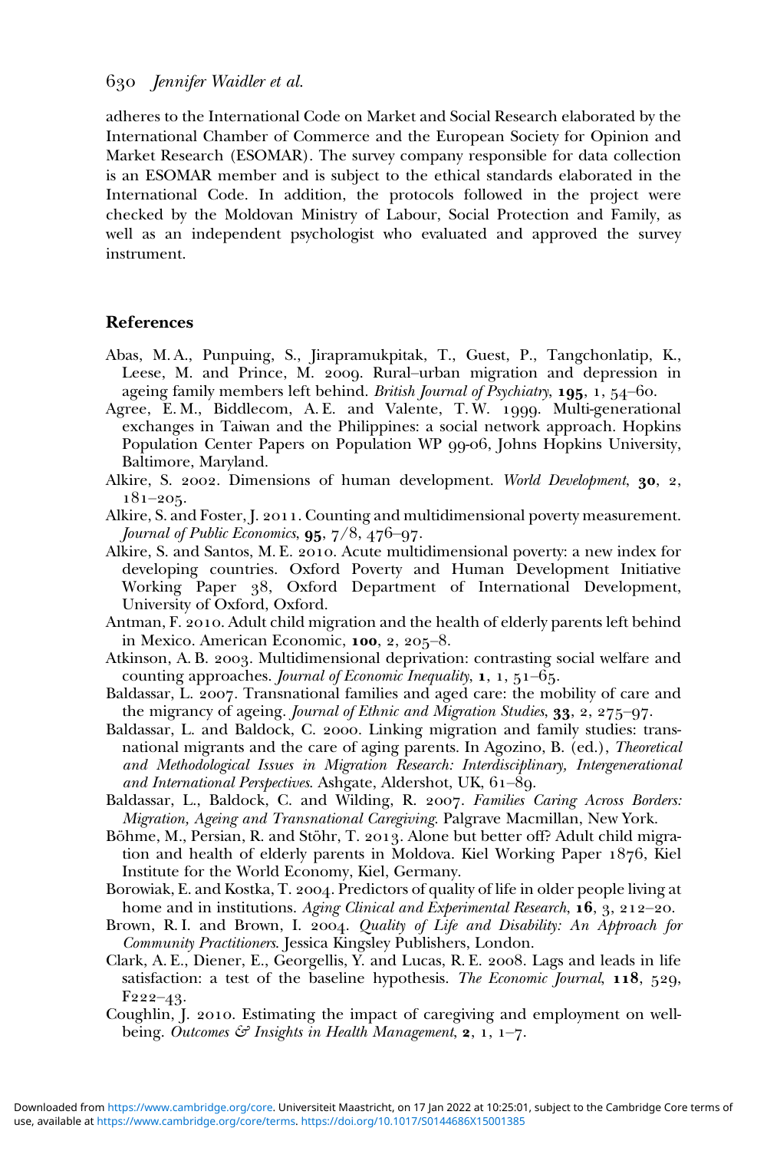<span id="page-24-0"></span>adheres to the International Code on Market and Social Research elaborated by the International Chamber of Commerce and the European Society for Opinion and Market Research (ESOMAR). The survey company responsible for data collection is an ESOMAR member and is subject to the ethical standards elaborated in the International Code. In addition, the protocols followed in the project were checked by the Moldovan Ministry of Labour, Social Protection and Family, as well as an independent psychologist who evaluated and approved the survey instrument.

#### References

- Abas, M. A., Punpuing, S., Jirapramukpitak, T., Guest, P., Tangchonlatip, K., Leese, M. and Prince, M. 2009. Rural–urban migration and depression in ageing family members left behind. British Journal of Psychiatry,  $195, 1, 54-60$ .
- Agree, E.M., Biddlecom, A.E. and Valente, T.W. 1999. Multi-generational exchanges in Taiwan and the Philippines: a social network approach. Hopkins Population Center Papers on Population WP 99-06, Johns Hopkins University, Baltimore, Maryland.
- Alkire, S. 2002. Dimensions of human development. World Development,  $30, 2$ ,  $181 - 205.$
- Alkire, S. and Foster, J. 2011. Counting and multidimensional poverty measurement. Journal of Public Economics,  $95, 7/8, 476 - 97$ .
- Alkire, S. and Santos, M. E. 2010. Acute multidimensional poverty: a new index for developing countries. Oxford Poverty and Human Development Initiative Working Paper 38, Oxford Department of International Development, University of Oxford, Oxford.
- Antman, F. 2010. Adult child migration and the health of elderly parents left behind in Mexico. American Economic,  $100$ ,  $2$ ,  $205-8$ .
- Atkinson, A. B. 2003. Multidimensional deprivation: contrasting social welfare and counting approaches. Journal of Economic Inequality,  $1, 1, 51-65$ .
- Baldassar, L. 2007. Transnational families and aged care: the mobility of care and the migrancy of ageing. Journal of Ethnic and Migration Studies, 33, 2, 275-07.
- Baldassar, L. and Baldock, C. 2000. Linking migration and family studies: transnational migrants and the care of aging parents. In Agozino, B. (ed.), Theoretical and Methodological Issues in Migration Research: Interdisciplinary, Intergenerational and International Perspectives. Ashgate, Aldershot, UK,  $61-89$ .
- Baldassar, L., Baldock, C. and Wilding, R. 2007. Families Caring Across Borders: Migration, Ageing and Transnational Caregiving. Palgrave Macmillan, New York.
- Böhme, M., Persian, R. and Stöhr, T. 2013. Alone but better off? Adult child migration and health of elderly parents in Moldova. Kiel Working Paper 1876, Kiel Institute for the World Economy, Kiel, Germany.
- Borowiak, E. and Kostka, T. 2004. Predictors of quality of life in older people living at home and in institutions. Aging Clinical and Experimental Research,  $\overline{16}$ ,  $\overline{3}$ , 212–20.
- Brown, R.I. and Brown, I. 2004. Quality of Life and Disability: An Approach for Community Practitioners. Jessica Kingsley Publishers, London.
- Clark, A. E., Diener, E., Georgellis, Y. and Lucas, R. E. 2008. Lags and leads in life satisfaction: a test of the baseline hypothesis. The Economic Journal,  $118$ ,  $529$ ,  $F_{222-43}$ .
- Coughlin, J. 2010. Estimating the impact of caregiving and employment on wellbeing. Outcomes  $\mathcal{C}$  Insights in Health Management, **2**, 1, 1-7.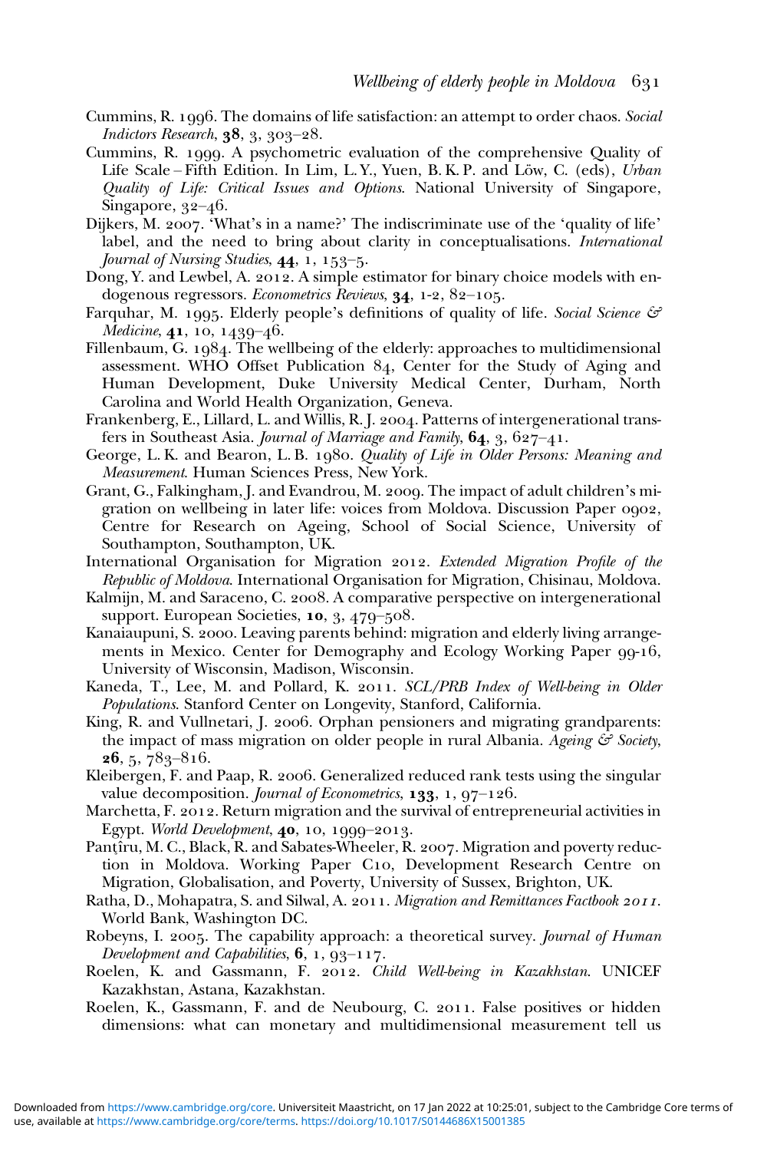- <span id="page-25-0"></span>Cummins, R. 1996. The domains of life satisfaction: an attempt to order chaos. Social Indictors Research,  $38, 3, 303-28$ .
- Cummins, R. 1999. A psychometric evaluation of the comprehensive Quality of Life Scale – Fifth Edition. In Lim, L. Y., Yuen, B. K. P. and Löw, C. (eds), Urban Quality of Life: Critical Issues and Options. National University of Singapore, Singapore,  $32-46$ .
- Dijkers, M. 2007. 'What's in a name?' The indiscriminate use of the 'quality of life' label, and the need to bring about clarity in conceptualisations. International Journal of Nursing Studies,  $44$ ,  $1, 153-5$ .
- Dong, Y. and Lewbel, A. 2012. A simple estimator for binary choice models with endogenous regressors. Econometrics Reviews,  $34$ , 1-2, 82-105.
- Farquhar, M. 1995. Elderly people's definitions of quality of life. Social Science  $\mathcal{F}$ Medicine,  $41, 10, 1439 - 46$ .
- Fillenbaum, G. 1984. The wellbeing of the elderly: approaches to multidimensional assessment. WHO Offset Publication 84, Center for the Study of Aging and Human Development, Duke University Medical Center, Durham, North Carolina and World Health Organization, Geneva.
- Frankenberg, E., Lillard, L. and Willis, R. J. 2004. Patterns of intergenerational transfers in Southeast Asia. Journal of Marriage and Family,  $64$ , 3,  $627-41$ .
- George, L. K. and Bearon, L. B. 1980. *Quality of Life in Older Persons: Meaning and* Measurement. Human Sciences Press, New York.
- Grant, G., Falkingham, J. and Evandrou, M. 2009. The impact of adult children's migration on wellbeing in later life: voices from Moldova. Discussion Paper 0002, Centre for Research on Ageing, School of Social Science, University of Southampton, Southampton, UK.
- International Organisation for Migration 2012. Extended Migration Profile of the Republic of Moldova. International Organisation for Migration, Chisinau, Moldova.
- Kalmijn, M. and Saraceno, C. 2008. A comparative perspective on intergenerational support. European Societies,  $10, 3, 479 - 508$ .
- Kanaiaupuni, S. 2000. Leaving parents behind: migration and elderly living arrangements in Mexico. Center for Demography and Ecology Working Paper  $qq-16$ , University of Wisconsin, Madison, Wisconsin.
- Kaneda, T., Lee, M. and Pollard, K. 2011. SCL/PRB Index of Well-being in Older Populations. Stanford Center on Longevity, Stanford, California.
- King, R. and Vullnetari, J. 2006. Orphan pensioners and migrating grandparents: the impact of mass migration on older people in rural Albania. Ageing  $G$  Society, 26, 5, 783-816.
- Kleibergen, F. and Paap, R. 2006. Generalized reduced rank tests using the singular value decomposition. Journal of Econometrics,  $133, 1, 97-126$ .
- Marchetta, F. 2012. Return migration and the survival of entrepreneurial activities in Egypt. World Development,  $40, 10, 1999 - 2013$ .
- Pant îru, M. C., Black, R. and Sabates-Wheeler, R. 2007. Migration and poverty reduction in Moldova. Working Paper C10, Development Research Centre on Migration, Globalisation, and Poverty, University of Sussex, Brighton, UK.
- Ratha, D., Mohapatra, S. and Silwal, A. 2011. Migration and Remittances Factbook 2011. World Bank, Washington DC.
- Robeyns, I. 2005. The capability approach: a theoretical survey. Journal of Human Development and Capabilities,  $6, 1, 93-117$ .
- Roelen, K. and Gassmann, F. 2012. Child Well-being in Kazakhstan. UNICEF Kazakhstan, Astana, Kazakhstan.
- Roelen, K., Gassmann, F. and de Neubourg, C. 2011. False positives or hidden dimensions: what can monetary and multidimensional measurement tell us